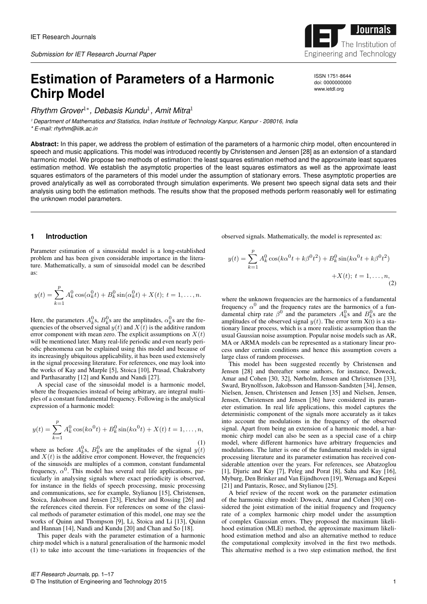# **Estimation of Parameters of a Harmonic Chirp Model**

*Rhythm Grover*1<sup>∗</sup> *, Debasis Kundu*<sup>1</sup> *, Amit Mitra*<sup>1</sup>

<sup>1</sup> *Department of Mathematics and Statistics, Indian Institute of Technology Kanpur, Kanpur - 208016, India*

*\* E-mail: rhythm@iitk.ac.in*

**Abstract:** In this paper, we address the problem of estimation of the parameters of a harmonic chirp model, often encountered in speech and music applications. This model was introduced recently by Christensen and Jensen [28] as an extension of a standard harmonic model. We propose two methods of estimation: the least squares estimation method and the approximate least squares estimation method. We establish the asymptotic properties of the least squares estimators as well as the approximate least squares estimators of the parameters of this model under the assumption of stationary errors. These asymptotic properties are proved analytically as well as corroborated through simulation experiments. We present two speech signal data sets and their analysis using both the estimation methods. The results show that the proposed methods perform reasonably well for estimating the unknown model parameters.

## **1 Introduction**

Parameter estimation of a sinusoidal model is a long-established problem and has been given considerable importance in the literature. Mathematically, a sum of sinusoidal model can be described as:

$$
y(t) = \sum_{k=1}^{p} A_k^0 \cos(\alpha_k^0 t) + B_k^0 \sin(\alpha_k^0 t) + X(t); t = 1, ..., n.
$$

Here, the parameters  $A_k^0$ s,  $B_k^0$ s are the amplitudes,  $\alpha_k^0$ s are the frequencies of the observed signal  $y(t)$  and  $\overline{X(t)}$  is the additive random error component with mean zero. The explicit assumptions on  $X(t)$ will be mentioned later. Many real-life periodic and even nearly periodic phenomena can be explained using this model and because of its increasingly ubiquitous applicability, it has been used extensively in the signal processing literature. For references, one may look into the works of Kay and Marple [5], Stoica [10], Prasad, Chakraborty and Parthasarathy [12] and Kundu and Nandi [27].

A special case of the sinusoidal model is a harmonic model, where the frequencies instead of being arbitrary, are integral multiples of a constant fundamental frequency. Following is the analytical expression of a harmonic model:

$$
y(t) = \sum_{k=1}^{p} A_k^0 \cos(k\alpha^0 t) + B_k^0 \sin(k\alpha^0 t) + X(t) t = 1, ..., n,
$$
\n(1)

where as before  $A_k^0$ s,  $B_k^0$ s are the amplitudes of the signal  $y(t)$ and  $X(t)$  is the additive error component. However, the frequencies of the sinusoids are multiples of a common, constant fundamental frequency,  $\alpha^0$ . This model has several real life applications, particularly in analysing signals where exact periodicity is observed, for instance in the fields of speech processing, music processing and communications, see for example, Stylianou [15], Christensen, Stoica, Jakobsson and Jensen [23], Fletcher and Rossing [26] and the references cited therein. For references on some of the classical methods of parameter estimation of this model, one may see the works of Quinn and Thompson [9], Li, Stoica and Li [13], Quinn and Hannan [14], Nandi and Kundu [20] and Chan and So [18].

This paper deals with the parameter estimation of a harmonic chirp model which is a natural generalisation of the harmonic model (1) to take into account the time-variations in frequencies of the observed signals. Mathematically, the model is represented as:

$$
y(t) = \sum_{k=1}^{p} A_k^0 \cos(k\alpha^0 t + k\beta^0 t^2) + B_k^0 \sin(k\alpha^0 t + k\beta^0 t^2) + X(t); t = 1, ..., n,
$$
\n(2)

where the unknown frequencies are the harmonics of a fundamental frequency  $\alpha^0$  and the frequency rates are the harmonics of a fundamental chirp rate  $\beta^0$  and the parameters  $A_k^0$ s and  $B_k^0$ s are the amplitudes of the observed signal  $y(t)$ . The error term  $X(t)$  is a stationary linear process, which is a more realistic assumption than the usual Gaussian noise assumption. Popular noise models such as AR, MA or ARMA models can be represented as a stationary linear process under certain conditions and hence this assumption covers a large class of random processes.

This model has been suggested recently by Christensen and Jensen [28] and thereafter some authors, for instance, Doweck, Amar and Cohen [30, 32], Nørholm, Jensen and Christensen [33], Sward, Brynolfsson, Jakobsson and Hansson-Sandsten [34], Jensen, Nielsen, Jensen, Christensen and Jensen [35] and Nielsen, Jensen, Jensen, Christensen and Jensen [36] have considered its parameter estimation. In real life applications, this model captures the deterministic component of the signals more accurately as it takes into account the modulations in the frequency of the observed signal. Apart from being an extension of a harmonic model, a harmonic chirp model can also be seen as a special case of a chirp model, where different harmonics have arbitrary frequencies and modulations. The latter is one of the fundamental models in signal processing literature and its parameter estimation has received considerable attention over the years. For references, see Abatzoglou [1], Djuric and Kay [7], Peleg and Porat [8], Saha and Kay [16], Myburg, Den Brinker and Van Eijndhoven [19], Weruaga and Kepesi [21] and Pantazis, Rosec, and Stylianou [25].

A brief review of the recent work on the parameter estimation of the harmonic chirp model: Doweck, Amar and Cohen [30] considered the joint estimation of the initial frequency and frequency rate of a complex harmonic chirp model under the assumption of complex Gaussian errors. They proposed the maximum likelihood estimation (MLE) method, the approximate maximum likelihood estimation method and also an alternative method to reduce the computational complexity involved in the first two methods. This alternative method is a two step estimation method, the first



ISSN 1751-8644 doi: 0000000000 www.ietdl.org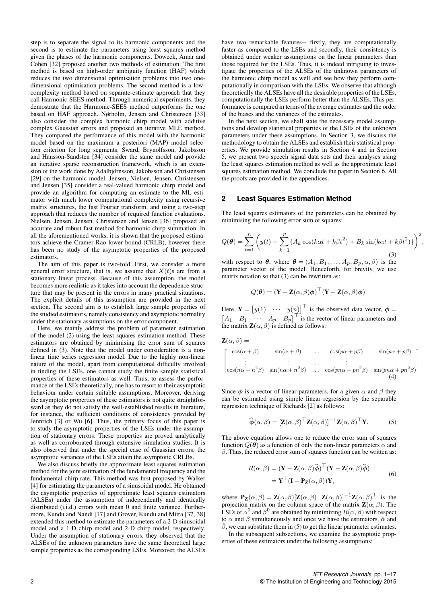step is to separate the signal to its harmonic components and the second is to estimate the parameters using least squares method given the phases of the harmonic components. Doweck, Amar and Cohen [32] proposed another two methods of estimation. The first method is based on high-order ambiguity function (HAF) which reduces the two dimensional optimisation problems into two onedimensional optimisation problems. The second method is a lowcomplexity method based on separate-estimate approach that they call Harmonic-SEES method. Through numerical experiments, they demostrate that the Harmonic-SEES method outperforms the one based on HAF approach. Nørholm, Jensen and Christensen [33] also consider the complex harmonic chirp model with additive complex Gaussian errors and proposed an iterative MLE method. They compared the performance of this model with the harmonic model based on the maximum a posteriori (MAP) model selection criterion for long segments. Sward, Brynolfsson, Jakobsson and Hansson-Sandsten [34] consider the same model and provide an iterative sparse reconstruction framework, which is an extension of the work done by Adalbjörnsson, Jakobsson and Christensen [29] on the harmonic model. Jensen, Nielsen, Jensen, Christensen and Jensen [35] consider a real-valued harmonic chirp model and provide an algorithm for computing an estimate to the ML estimator with much lower computational complexity using recursive matrix structures, the fast Fourier transform, and using a two-step approach that reduces the number of required function evaluations. Nielsen, Jensen, Jensen, Christensen and Jensen [36] proposed an accurate and robust fast method for harmonic chirp summation. In all the aforementioned works, it is shown that the proposed estimators achieve the Cramer Rao lower bound (CRLB), however there has been no study of the asymptotic properties of the proposed estimators.

The aim of this paper is two-fold. First, we consider a more general error structure, that is, we assume that  $X(t)$ s are from a stationary linear process. Because of this assumption, the model becomes more realistic as it takes into account the dependence structure that may be present in the errors in many practical situations. The explicit details of this assumption are provided in the next section. The second aim is to establish large sample properties of the studied estimators, namely consistency and asymptotic normality under the stationary assumptions on the error component.

Here, we mainly address the problem of parameter estimation of the model (2) using the least squares estimation method. These estimators are obtained by minimising the error sum of square defined in (3). Note that the model under consideration is a nonlinear time series regression model. Due to the highly non-linear nature of the model, apart from computational difficulty involved in finding the LSEs, one cannot study the finite sample statistic properties of these estimators as well. Thus, to assess the performance of the LSEs theoretically, one has to resort to their asymptotic behaviour under certain suitable assumptions. Moreover, deriving the asymptotic properties of these estimators is not quite straightforward as they do not satisfy the well-established results in literature, for instance, the sufficient conditions of consistency provided by Jennrich [3] or Wu [6]. Thus, the primary focus of this paper is to study the asymptotic properties of the LSEs under the assumption of stationary errors. These properties are proved analytically as well as corroborated through extensive simulation studies. It is also observed that under the special case of Gaussian errors, the asymptotic variances of the LSEs attain the asymptotic CRLBs.

We also discuss briefly the approximate least squares estimation method for the joint estimation of the fundamental frequency and the fundamental chirp rate. This method was first proposed by Walker [4] for estimating the parameters of a sinusoidal model. He obtained the asymptotic properties of approximate least squares estimators (ALSEs) under the assumption of independently and identically distributed (i.i.d.) errors with mean 0 and finite variance. Furthermore, Kundu and Nandi [17] and Grover, Kundu and Mitra [37, 38] extended this method to estimate the parameters of a 2-D sinusoidal model and a 1-D chirp model and 2-D chirp model, respectively. Under the assumption of stationary errors, they observed that the ALSEs of the unknown parameters have the same theoretical large sample properties as the corresponding LSEs. Moreover, the ALSEs have two remarkable features− firstly, they are computationally faster as compared to the LSEs and secondly, their consistency is obtained under weaker assumptions on the linear parameters than those required for the LSEs. Thus, it is indeed intriguing to investigate the properties of the ALSEs of the unknown parameters of the harmonic chirp model as well and see how they perform computationally in comparison with the LSEs. We observe that although theoretically the ALSEs have all the desirable properties of the LSEs, computationally the LSEs perform better than the ALSEs. This performance is compared in terms of the average estimates and the order of the biases and the variances of the estimates.

In the next section, we shall state the necessary model assumptions and develop statistical properties of the LSEs of the unknown parameters under these assumptions. In Section 3, we discuss the methodology to obtain the ALSEs and establish their statistical properties. We provide simulation results in Section 4 and in Section 5, we present two speech signal data sets and their analyses using the least squares estimation method as well as the approximate least squares estimation method. We conclude the paper in Section 6. All the proofs are provided in the appendices.

## **2 Least Squares Estimation Method**

The least squares estimators of the parameters can be obtained by minimising the following error sum of squares:

$$
Q(\boldsymbol{\theta}) = \sum_{t=1}^{n} \left( y(t) - \sum_{k=1}^{p} \{ A_k \cos(k\alpha t + k\beta t^2) + B_k \sin(k\alpha t + k\beta t^2) \} \right)^2,
$$
\n(3)

with respect to  $\theta$ , where  $\theta = (A_1, B_1, \dots, A_p, B_p, \alpha, \beta)$  is the parameter vector of the model. Henceforth, for brevity, we use matrix notation so that (3) can be rewritten as:

$$
Q(\boldsymbol{\theta}) = (\mathbf{Y} - \mathbf{Z}(\alpha, \beta)\boldsymbol{\phi})^{\top} (\mathbf{Y} - \mathbf{Z}(\alpha, \beta)\boldsymbol{\phi}).
$$

Here,  $\mathbf{Y} = \begin{bmatrix} y(1) & \cdots & y(n) \end{bmatrix}^\top$  is the observed data vector,  $\phi =$  $\begin{bmatrix} A_1 & B_1 & \cdots & A_p & B_p \end{bmatrix}^{\top}$  is the vector of linear parameters and the matrix  $\mathbf{Z}(\alpha, \beta)$  is defined as follows:

$$
\mathbf{Z}(\alpha, \beta) = \n\begin{bmatrix}\n\cos(\alpha + \beta) & \sin(\alpha + \beta) & \dots & \cos(p\alpha + p\beta) & \sin(p\alpha + p\beta) \\
\vdots & \vdots & \dots & \vdots & \vdots \\
\cos(n\alpha + n^2\beta) & \sin(n\alpha + n^2\beta) & \dots & \cos(p\alpha + pn^2\beta) & \sin(p\alpha + pn^2\beta)\n\end{bmatrix}
$$

Since  $\phi$  is a vector of linear parameters, for a given  $\alpha$  and  $\beta$  they can be estimated using simple linear regression by the separable regression technique of Richards [2] as follows:

$$
\widehat{\boldsymbol{\phi}}(\alpha,\beta) = [\mathbf{Z}(\alpha,\beta)^{\top} \mathbf{Z}(\alpha,\beta)]^{-1} \mathbf{Z}(\alpha,\beta)^{\top} \mathbf{Y}.
$$
 (5)

ı  $\perp$  $\vert \cdot$ 

The above equation allows one to reduce the error sum of squares function  $Q(\hat{\theta})$  as a function of only the non-linear parameters  $\alpha$  and  $\beta$ . Thus, the reduced error sum of squares function can be written as:

$$
R(\alpha, \beta) = (\mathbf{Y} - \mathbf{Z}(\alpha, \beta)\widehat{\boldsymbol{\phi}})^{\top} (\mathbf{Y} - \mathbf{Z}(\alpha, \beta)\widehat{\boldsymbol{\phi}})
$$
  
=  $\mathbf{Y}^{\top} (\mathbf{I} - \mathbf{P}_{\mathbf{Z}}(\alpha, \beta)) \mathbf{Y},$  (6)

where  $\mathbf{P}_{\mathbf{Z}}(\alpha, \beta) = \mathbf{Z}(\alpha, \beta) [\mathbf{Z}(\alpha, \beta)]^{\top} \mathbf{Z}(\alpha, \beta)]^{-1} \mathbf{Z}(\alpha, \beta)^{\top}$  is the projection matrix on the column space of the matrix  $\mathbf{Z}(\alpha, \beta)$ . The LSEs of  $\alpha^0$  and  $\beta^0$  are obtained by minimizing  $R(\alpha, \beta)$  with respect to  $\alpha$  and  $\beta$  simultaneously and once we have the estimators,  $\hat{\alpha}$  and  $\hat{\beta}$ , we can substitute them in (5) to get the linear parameter estimates.

In the subsequent subsections, we examine the asymptotic properties of these estimators under the following assumptions: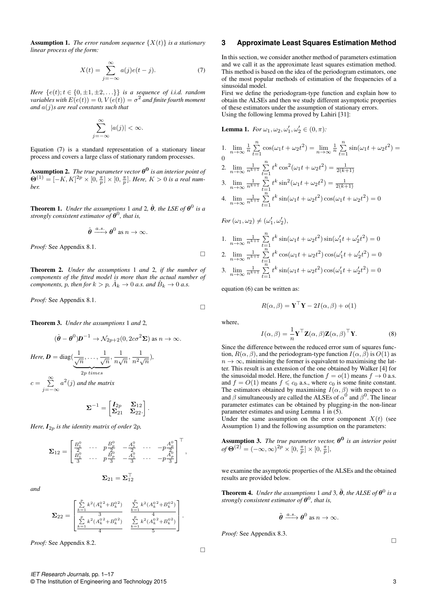**Assumption 1.** *The error random sequence*  $\{X(t)\}\$ *is a stationary linear process of the form:*

$$
X(t) = \sum_{j=-\infty}^{\infty} a(j)e(t-j).
$$
 (7)

*Here*  ${e(t); t \in \{0, \pm 1, \pm 2, \ldots\}}$  *is a sequence of i.i.d. random*  $variable$ s with  $E(e(t)) = 0$ ,  $V(e(t)) = \sigma^2$  and finite fourth moment *and* a(j)*s are real constants such that*

$$
\sum_{j=-\infty}^{\infty} |a(j)| < \infty.
$$

Equation (7) is a standard representation of a stationary linear process and covers a large class of stationary random processes.

 ${\bf Assumption~2.}$  *The true parameter vector*  $\boldsymbol{\theta^0}$  *is an interior point of*  $\Theta^{(1)} = [-K, K]^{2p} \times [0, \frac{\pi}{p}] \times [0, \frac{\pi}{p}]$ . Here,  $K > 0$  is a real num*ber.*

**Theorem 1.** *Under the assumptions* 1 *and* 2,  $\hat{\theta}$ , *the LSE of*  $\theta^0$  *is a strongly consistent estimator of* θ 0 *, that is,*

$$
\hat{\theta} \xrightarrow{a.s.} \theta^0 \text{ as } n \to \infty.
$$

*Proof:* See Appendix 8.1.

Theorem 2. *Under the assumptions* 1 *and* 2*, if the number of components of the fitted model is more than the actual number of components, p, then for*  $k > p$ ,  $\hat{A}_k \to 0$  *a.s. and*  $\hat{B}_k \to 0$  *a.s.* 

*Proof:* See Appendix 8.1.

Theorem 3. *Under the assumptions* 1 *and* 2*,*

$$
(\hat{\theta} - \theta^0)\mathbf{D}^{-1} \to \mathcal{N}_{2p+2}(0, 2c\sigma^2 \mathbf{\Sigma}) \text{ as } n \to \infty.
$$
  
Here,  $\mathbf{D} = \text{diag}(\underbrace{\frac{1}{\sqrt{n}}, \dots, \frac{1}{\sqrt{n}}}_{2p \text{ times}}, \frac{1}{n\sqrt{n}}, \frac{1}{n^2\sqrt{n}}),$   
 $c = \sum_{j=-\infty}^{\infty} a^2(j)$  and the matrix

 $\boldsymbol{\Sigma}^{-1} = \begin{bmatrix} \boldsymbol{I}_{2p} & \boldsymbol{\Sigma}_{12} \ \boldsymbol{\Sigma}_1 & \boldsymbol{\Sigma}_2 \end{bmatrix}$  $\Sigma_{21}$   $\Sigma_{22}$ . .

*Here,*  $I_{2p}$  *is the identity matrix of order*  $2p$ *,* 

$$
\mathbf{\Sigma}_{12} = \begin{bmatrix} \frac{B_1^0}{2} & \cdots & p\frac{B_p^0}{2} & -\frac{A_1^0}{2} & \cdots & -p\frac{A_p^0}{2} \\ \frac{B_1^0}{3} & \cdots & p\frac{B_p^0}{3} & -\frac{A_1^0}{3} & \cdots & -p\frac{A_p^0}{3} \end{bmatrix}^{\top}
$$

$$
\mathbf{\Sigma}_{21} = \mathbf{\Sigma}_{12}^{\top}
$$

*and*

$$
\pmb{\Sigma}_{22} = \begin{bmatrix} \frac{\sum\limits_{k=1}^p k^2 (A_k^{0\,2} + B_k^{0\,2})}{3} & \frac{\sum\limits_{k=1}^p k^2 (A_k^{0\,2} + B_k^{0\,2})}{4} \\ \frac{\sum\limits_{k=1}^p k^2 (A_k^{0\,2} + B_k^{0\,2})}{4} & \frac{\sum\limits_{k=1}^p k^2 (A_k^{0\,2} + B_k^{0\,2})}{5} \end{bmatrix}.
$$

*Proof:* See Appendix 8.2.

## **3 Approximate Least Squares Estimation Method**

In this section, we consider another method of parameters estimation and we call it as the approximate least squares estimation method. This method is based on the idea of the periodogram estimators, one of the most popular methods of estimation of the frequencies of a sinusoidal model.

First we define the periodogram-type function and explain how to obtain the ALSEs and then we study different asymptotic properties of these estimators under the assumption of stationary errors. Using the following lemma proved by Lahiri [31]:

**Lemma 1.** For 
$$
\omega_1, \omega_2, \omega'_1, \omega'_2 \in (0, \pi)
$$
:  
\n1.  $\lim_{n \to \infty} \frac{1}{n} \sum_{t=1}^n \cos(\omega_1 t + \omega_2 t^2) = \lim_{n \to \infty} \frac{1}{n} \sum_{t=1}^n \sin(\omega_1 t + \omega_2 t^2) =$   
\n0  
\n2.  $\lim_{n \to \infty} \frac{1}{n^{k+1}} \sum_{t=1}^n t^k \cos^2(\omega_1 t + \omega_2 t^2) = \frac{1}{2(k+1)}$   
\n3.  $\lim_{n \to \infty} \frac{1}{n^{k+1}} \sum_{t=1}^n t^k \sin^2(\omega_1 t + \omega_2 t^2) = \frac{1}{2(k+1)}$   
\n4.  $\lim_{n \to \infty} \frac{1}{n^{k+1}} \sum_{t=1}^n t^k \sin(\omega_1 t + \omega_2 t^2) \cos(\omega_1 t + \omega_2 t^2) = 0$   
\nFor  $(\omega_1, \omega_2) \neq (\omega'_1, \omega'_2)$ ,

1. 
$$
\lim_{n \to \infty} \frac{1}{n^{k+1}} \sum_{t=1}^{n} t^k \sin(\omega_1 t + \omega_2 t^2) \sin(\omega'_1 t + \omega'_2 t^2) = 0
$$
  
2. 
$$
\lim_{n \to \infty} \frac{1}{n^{k+1}} \sum_{t=1}^{n} t^k \cos(\omega_1 t + \omega_2 t^2) \cos(\omega'_1 t + \omega'_2 t^2) = 0
$$
  
3. 
$$
\lim_{n \to \infty} \frac{1}{n^{k+1}} \sum_{t=1}^{n} t^k \sin(\omega_1 t + \omega_2 t^2) \cos(\omega'_1 t + \omega'_2 t^2) = 0
$$

equation (6) can be written as:

$$
R(\alpha, \beta) = \mathbf{Y}^\top \mathbf{Y} - 2I(\alpha, \beta) + o(1)
$$

where,

 $\Box$ 

 $\Box$ 

,

 $\Box$ 

$$
I(\alpha, \beta) = \frac{1}{n} \mathbf{Y}^\top \mathbf{Z}(\alpha, \beta) \mathbf{Z}(\alpha, \beta)^\top \mathbf{Y}.
$$
 (8)

Since the difference between the reduced error sum of squares function,  $R(\alpha, \beta)$ , and the periodogram-type function  $I(\alpha, \beta)$  is  $O(1)$  as  $n \to \infty$ , minimising the former is equivalent to maximising the latter. This result is an extension of the one obtained by Walker [4] for the sinusoidal model. Here, the function  $f = o(1)$  means  $f \to 0$  a.s. and  $f = O(1)$  means  $f \le c_0$  a.s., where  $c_0$  is some finite constant. The estimators obtained by maximising  $I(\alpha, \beta)$  with respect to  $\alpha$ and  $\beta$  simultaneously are called the ALSEs of  $\alpha^0$  and  $\beta^0$ . The linear parameter estimates can be obtained by plugging-in the non-linear parameter estimates and using Lemma 1 in (5).

Under the same assumption on the error component  $X(t)$  (see Assumption 1) and the following assumption on the parameters:

**Assumption 3.** The true parameter vector, 
$$
\theta^0
$$
 is an interior point  
of  $\Theta^{(2)} = (-\infty, \infty)^{2p} \times [0, \frac{\pi}{p}] \times [0, \frac{\pi}{p}],$ 

we examine the asymptotic properties of the ALSEs and the obtained results are provided below.

**Theorem 4.** *Under the assumptions* 1 *and* 3,  $\tilde{\theta}$ , *the ALSE of*  $\theta^0$  *is a strongly consistent estimator of* θ 0 *, that is,*

$$
\tilde{\theta} \xrightarrow{a.s.} \theta^0 \text{ as } n \to \infty.
$$

*Proof:* See Appendix 8.3.

 $\Box$ 

*IET Research Journals,* pp. 1–17 © The Institution of Engineering and Technology 2015 3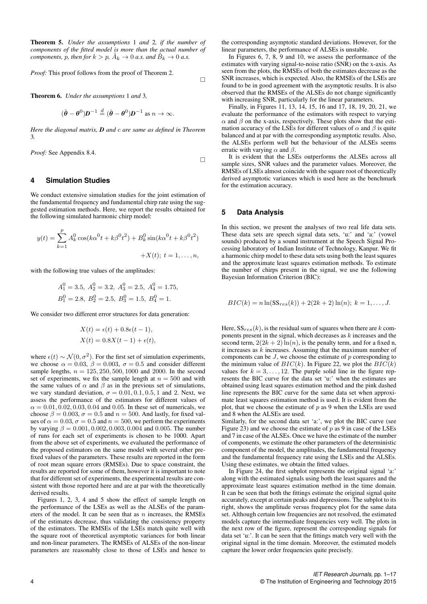Theorem 5. *Under the assumptions* 1 *and* 2*, if the number of components of the fitted model is more than the actual number of components, p, then for*  $k > p$ ,  $\tilde{A}_k \to 0$  *a.s. and*  $\tilde{B}_k \to 0$  *a.s.* 

*Proof:* This proof follows from the proof of Theorem 2.

Theorem 6. *Under the assumptions* 1 *and* 3*,*

$$
(\tilde{\boldsymbol{\theta}} - \boldsymbol{\theta}^0)\boldsymbol{D}^{-1} \stackrel{d}{=} (\hat{\boldsymbol{\theta}} - \boldsymbol{\theta}^0)\boldsymbol{D}^{-1} \text{ as } n \to \infty.
$$

*Here the diagonal matrix, D and* c *are same as defined in Theorem* 3*.*

*Proof:* See Appendix 8.4.

$$
\Box
$$

 $\Box$ 

## **4 Simulation Studies**

We conduct extensive simulation studies for the joint estimation of the fundamental frequency and fundamental chirp rate using the suggested estimation methods. Here, we report the results obtained for the following simulated harmonic chirp model:

$$
y(t) = \sum_{k=1}^{p} A_k^0 \cos(k\alpha^0 t + k\beta^0 t^2) + B_k^0 \sin(k\alpha^0 t + k\beta^0 t^2) + X(t); t = 1, ..., n,
$$

with the following true values of the amplitudes:

$$
A_1^0 = 3.5
$$
,  $A_2^0 = 3.2$ ,  $A_3^0 = 2.5$ ,  $A_4^0 = 1.75$ ,  
 $B_1^0 = 2.8$ ,  $B_2^0 = 2.5$ ,  $B_3^0 = 1.5$ ,  $B_4^0 = 1$ .

We consider two different error structures for data generation:

$$
X(t) = \epsilon(t) + 0.8\epsilon(t - 1),
$$
  

$$
X(t) = 0.8X(t - 1) + \epsilon(t),
$$

where  $\epsilon(t) \sim \mathcal{N}(0, \sigma^2)$ . For the first set of simulation experiments, we choose  $\alpha = 0.03$ ,  $\beta = 0.003$ ,  $\sigma = 0.5$  and consider different sample lengths,  $n = 125, 250, 500, 1000$  and 2000. In the second set of experiments, we fix the sample length at  $n = 500$  and with the same values of  $\alpha$  and  $\beta$  as in the previous set of simulations, we vary standard deviation,  $\sigma = 0.01, 0.1, 0.5, 1$  and 2. Next, we assess the performance of the estimators for different values of  $\alpha = 0.01, 0.02, 0.03, 0.04$  and 0.05. In these set of numericals, we choose  $\beta = 0.003$ ,  $\sigma = 0.5$  and  $n = 500$ . And lastly, for fixed values of  $\alpha = 0.03$ ,  $\sigma = 0.5$  and  $n = 500$ , we perform the experiments by varying  $\beta = 0.001, 0.002, 0.003, 0.004$  and 0.005. The number of runs for each set of experiments is chosen to be 1000. Apart from the above set of experiments, we evaluated the performance of the proposed estimators on the same model with several other prefixed values of the parameters. These results are reported in the form of root mean square errors (RMSEs). Due to space constraint, the results are reported for some of them, however it is important to note that for different set of experiments, the experimental results are consistent with those reported here and are at par with the theoretically derived results.

Figures 1, 2, 3, 4 and 5 show the effect of sample length on the performance of the LSEs as well as the ALSEs of the parameters of the model. It can be seen that as  $n$  increases, the RMSEs of the estimates decrease, thus validating the consistency property of the estimators. The RMSEs of the LSEs match quite well with the square root of theoretical asymptotic variances for both linear and non-linear parameters. The RMSEs of ALSEs of the non-linear parameters are reasonably close to those of LSEs and hence to the corresponding asymptotic standard deviations. However, for the linear parameters, the performance of ALSEs is unstable.

In Figures 6, 7, 8, 9 and 10, we assess the performance of the estimates with varying signal-to-noise ratio (SNR) on the x-axis. As seen from the plots, the RMSEs of both the estimates decrease as the SNR increases, which is expected. Also, the RMSEs of the LSEs are found to be in good agreement with the asymptotic results. It is also observed that the RMSEs of the ALSEs do not change significantly with increasing SNR, particularly for the linear parameters.

Finally, in Figures 11, 13, 14, 15, 16 and 17, 18, 19, 20, 21, we evaluate the performance of the estimators with respect to varying  $\alpha$  and  $\beta$  on the x-axis, respectively. These plots show that the estimation accuracy of the LSEs for different values of  $\alpha$  and  $\beta$  is quite balanced and at par with the corresponding asymptotic results. Also, the ALSEs perform well but the behaviour of the ALSEs seems erratic with varying  $\alpha$  and  $\beta$ .

It is evident that the LSEs outperforms the ALSEs across all sample sizes, SNR values and the parameter values. Moreover, the RMSEs of LSEs almost coincide with the square root of theoretically derived asymptotic variances which is used here as the benchmark for the estimation accuracy.

#### **5 Data Analysis**

In this section, we present the analyses of two real life data sets. These data sets are speech signal data sets, 'u:' and 'a:' (vowel sounds) produced by a sound instrument at the Speech Signal Processing laboratory of Indian Institute of Technology, Kanpur. We fit a harmonic chirp model to these data sets using both the least squares and the approximate least squares estimation methods. To estimate the number of chirps present in the signal, we use the following Bayesian Information Criterion (BIC):

$$
BIC(k) = n \ln(SS_{res}(k)) + 2(2k + 2) \ln(n); k = 1, ..., J.
$$

Here,  $SS_{res}(k)$ , is the residual sum of squares when there are k components present in the signal, which decreases as  $k$  increases and the second term,  $2(2k+2) \ln(n)$ , is the penalty term, and for a fixed n, it increases as  $k$  increases. Assuming that the maximum number of components can be  $J$ , we choose the estimate of  $p$  corresponding to the minimum value of  $BIC(k)$ . In Figure 22, we plot the  $BIC(k)$ values for  $k = 3, \ldots, 12$ . The purple solid line in the figure represents the BIC curve for the data set 'u:' when the estimates are obtained using least squares estimation method and the pink dashed line represents the BIC curve for the same data set when approximate least squares estimation method is used. It is evident from the plot, that we choose the estimate of  $p$  as 9 when the LSEs are used and 8 when the ALSEs are used.

Similarly, for the second data set 'a:', we plot the BIC curve (see Figure 23) and we choose the estimate of  $p$  as 9 in case of the LSEs and 7 in case of the ALSEs. Once we have the estimate of the number of components, we estimate the other parameters of the deterministic component of the model, the amplitudes, the fundamental frequency and the fundamental frequency rate using the LSEs and the ALSEs. Using these estimates, we obtain the fitted values.

In Figure 24, the first subplot represents the original signal 'a:' along with the estimated signals using both the least squares and the approximate least squares estimation method in the time domain. It can be seen that both the fittings estimate the original signal quite accurately, except at certain peaks and depressions. The subplot to its right, shows the amplitude versus frequency plot for the same data set. Although certain low frequencies are not resolved, the estimated models capture the intermediate frequencies very well. The plots in the next row of the figure, represent the corresponding signals for data set 'u:'. It can be seen that the fittings match very well with the original signal in the time domain. Moreover, the estimated models capture the lower order frequencies quite precisely.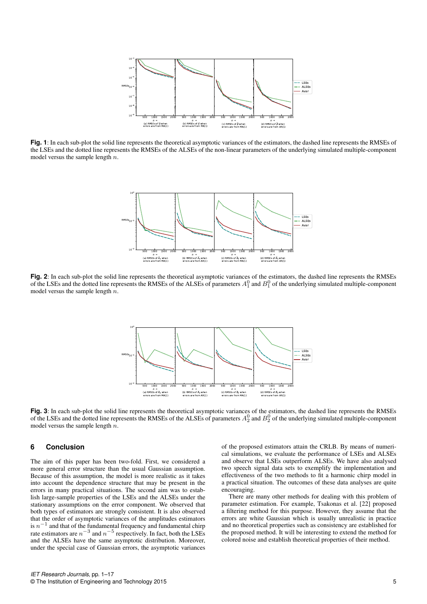

**Fig. 1**: In each sub-plot the solid line represents the theoretical asymptotic variances of the estimators, the dashed line represents the RMSEs of the LSEs and the dotted line represents the RMSEs of the ALSEs of the non-linear parameters of the underlying simulated multiple-component model versus the sample length  $n$ .



**Fig. 2**: In each sub-plot the solid line represents the theoretical asymptotic variances of the estimators, the dashed line represents the RMSEs of the LSEs and the dotted line represents the RMSEs of the ALSEs of parameters  $A_1^0$  and  $B_1^0$  of the underlying simulated multiple-component model versus the sample length  $n$ .



**Fig. 3**: In each sub-plot the solid line represents the theoretical asymptotic variances of the estimators, the dashed line represents the RMSEs of the LSEs and the dotted line represents the RMSEs of the ALSEs of parameters  $A_2^0$  and  $B_2^0$  of the underlying simulated multiple-component model versus the sample length  $n$ .

## **6 Conclusion**

The aim of this paper has been two-fold. First, we considered a more general error structure than the usual Gaussian assumption. Because of this assumption, the model is more realistic as it takes into account the dependence structure that may be present in the errors in many practical situations. The second aim was to establish large-sample properties of the LSEs and the ALSEs under the stationary assumptions on the error component. We observed that both types of estimators are strongly consistent. It is also observed that the order of asymptotic variances of the amplitudes estimators is  $n^{-1}$  and that of the fundamental frequency and fundamental chirp rate estimators are  $n^{-3}$  and  $n^{-5}$  respectively. In fact, both the LSEs and the ALSEs have the same asymptotic distribution. Moreover, under the special case of Gaussian errors, the asymptotic variances

of the proposed estimators attain the CRLB. By means of numerical simulations, we evaluate the performance of LSEs and ALSEs and observe that LSEs outperform ALSEs. We have also analysed two speech signal data sets to exemplify the implementation and effectiveness of the two methods to fit a harmonic chirp model in a practical situation. The outcomes of these data analyses are quite encouraging.

There are many other methods for dealing with this problem of parameter estimation. For example, Tsakonas et al. [22] proposed a filtering method for this purpose. However, they assume that the errors are white Gaussian which is usually unrealistic in practice and no theoretical properties such as consistency are established for the proposed method. It will be interesting to extend the method for colored noise and establish theoretical properties of their method.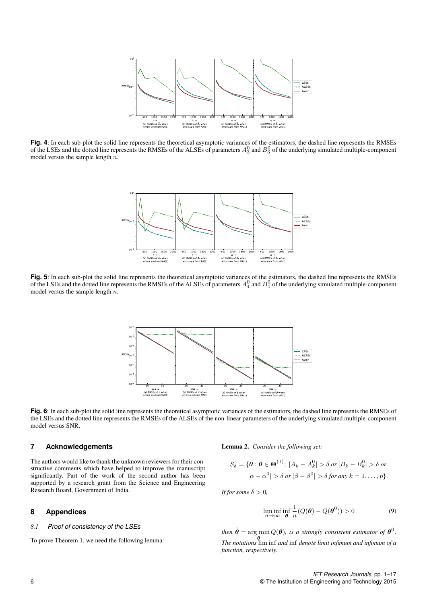

**Fig. 4**: In each sub-plot the solid line represents the theoretical asymptotic variances of the estimators, the dashed line represents the RMSEs of the LSEs and the dotted line represents the RMSEs of the ALSEs of parameters  $A_3^0$  and  $B_3^0$  of the underlying simulated multiple-component model versus the sample length  $n$ .



**Fig. 5**: In each sub-plot the solid line represents the theoretical asymptotic variances of the estimators, the dashed line represents the RMSEs of the LSEs and the dotted line represents the RMSEs of the ALSEs of parameters  $A_4^0$  and  $B_4^0$  of the underlying simulated multiple-component model versus the sample length  $n$ .



**Fig. 6**: In each sub-plot the solid line represents the theoretical asymptotic variances of the estimators, the dashed line represents the RMSEs of the LSEs and the dotted line represents the RMSEs of the ALSEs of the non-linear parameters of the underlying simulated multiple-component model versus SNR.

## **7 Acknowledgements**

The authors would like to thank the unknown reviewers for their constructive comments which have helped to improve the manuscript significantly. Part of the work of the second author has been supported by a research grant from the Science and Engineering Research Board, Government of India.

## **8 Appendices**

#### *8.1 Proof of consistency of the LSEs*

To prove Theorem 1, we need the following lemma:

Lemma 2. *Consider the following set:*

$$
S_{\delta} = \{ \theta : \theta \in \Theta^{(1)}; \ |A_k - A_k^0| > \delta \text{ or } |B_k - B_k^0| > \delta \text{ or } |A - \alpha^0| > \delta \text{ or } |\beta - \beta^0| > \delta \text{ for any } k = 1, \dots, p \}.
$$

*If for some*  $\delta > 0$ *,* 

$$
\liminf_{n \to \infty} \inf_{\theta} \frac{1}{n} (Q(\theta) - Q(\theta^0)) > 0
$$
\n(9)

then  $\hat{\boldsymbol{\theta}} = \arg \min Q(\boldsymbol{\theta})$ , is a strongly consistent estimator of  $\boldsymbol{\theta}^0$ . θ *The notations* lim inf *and* inf *denote limit infimum and infimum of a function, respectively.*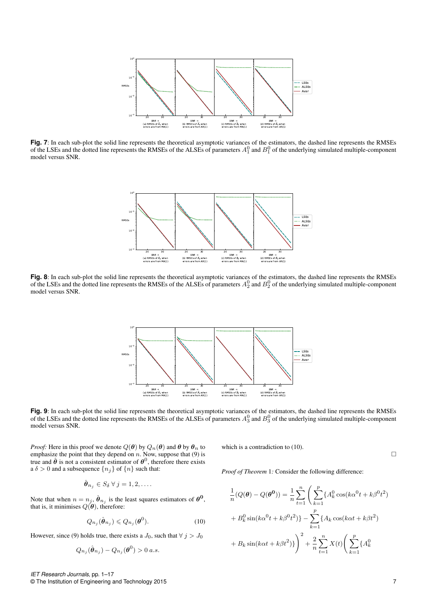

**Fig. 7**: In each sub-plot the solid line represents the theoretical asymptotic variances of the estimators, the dashed line represents the RMSEs of the LSEs and the dotted line represents the RMSEs of the ALSEs of parameters  $A_1^0$  and  $B_1^0$  of the underlying simulated multiple-component model versus SNR.



**Fig. 8**: In each sub-plot the solid line represents the theoretical asymptotic variances of the estimators, the dashed line represents the RMSEs of the LSEs and the dotted line represents the RMSEs of the ALSEs of parameters  $A_2^0$  and  $B_2^0$  of the underlying simulated multiple-component model versus SNR.



**Fig. 9**: In each sub-plot the solid line represents the theoretical asymptotic variances of the estimators, the dashed line represents the RMSEs of the LSEs and the dotted line represents the RMSEs of the ALSEs of parameters  $A_3^0$  and  $B_3^0$  of the underlying simulated multiple-component model versus SNR.

*Proof:* Here in this proof we denote  $Q(\theta)$  by  $Q_n(\theta)$  and  $\theta$  by  $\theta_n$  to emphasize the point that they depend on  $n$ . Now, suppose that (9) is true and  $\hat{\theta}$  is not a consistent estimator of  $\theta^0$ , therefore there exists a  $\delta > 0$  and a subsequence  $\{n_j\}$  of  $\{n\}$  such that:

$$
\hat{\boldsymbol{\theta}}_{n_j} \in S_{\delta} \ \forall \ j = 1, 2, \dots
$$

Note that when  $n = n_j$ ,  $\hat{\theta}_{n_j}$  is the least squares estimators of  $\theta^0$ , that is, it minimises  $Q(\boldsymbol{\theta})$ , therefore:

$$
Q_{n_j}(\hat{\boldsymbol{\theta}}_{n_j}) \leq Q_{n_j}(\boldsymbol{\theta}^0). \tag{10}
$$

However, since (9) holds true, there exists a  $J_0$ , such that  $\forall j > J_0$ 

$$
Q_{n_j}(\hat{\boldsymbol{\theta}}_{n_j}) - Q_{n_j}(\boldsymbol{\theta}^0) > 0 \ a.s.
$$

which is a contradiction to  $(10)$ .

 $\Box$ 

*Proof of Theorem* 1*:* Consider the following difference:

$$
\frac{1}{n}(Q(\theta) - Q(\theta^{0})) = \frac{1}{n} \sum_{t=1}^{n} \left( \sum_{k=1}^{p} \{A_{k}^{0} \cos(k\alpha^{0} t + k\beta^{0} t^{2}) + B_{k}^{0} \sin(k\alpha^{0} t + k\beta^{0} t^{2})\} - \sum_{k=1}^{p} \{A_{k} \cos(k\alpha t + k\beta t^{2}) + B_{k} \sin(k\alpha t + k\beta t^{2})\} \right)^{2} + \frac{2}{n} \sum_{t=1}^{n} X(t) \left( \sum_{k=1}^{p} \{A_{k}^{0} - A_{k}^{0} \cos(k\alpha t + k\beta t^{2})\} + \frac{2}{n} \sum_{t=1}^{n} \left( \sum_{k=1}^{p} \{A_{k}^{0} - A_{k}^{0} \cos(k\alpha t + k\beta t^{2})\} + \frac{2}{n} \sum_{t=1}^{n} \left( \sum_{k=1}^{p} \{A_{k}^{0} - A_{k}^{0} \cos(k\alpha t + k\beta t^{2})\} + \frac{2}{n} \sum_{k=1}^{n} \left( \sum_{k=1}^{n} \{A_{k}^{0} - A_{k}^{0} \cos(k\alpha t + k\beta t^{2})\} + \frac{2}{n} \sum_{k=1}^{n} \left( \sum_{k=1}^{n} \{A_{k}^{0} - A_{k}^{0} \cos(k\alpha t + k\beta t^{2})\} + \frac{2}{n} \sum_{k=1}^{n} \left( \sum_{k=1}^{n} \{A_{k}^{0} - A_{k}^{0} \cos(k\alpha t + k\beta t^{2})\} + \frac{2}{n} \sum_{k=1}^{n} \left( \sum_{k=1}^{n} \{A_{k}^{0} - A_{k}^{0} \cos(k\alpha t + k\beta t^{2})\} + \frac{2}{n} \sum_{k=1}^{n} \left( \sum_{k=1}^{n} \{A_{k}^{0} - A_{k}^{0} \cos(k\alpha t + k\beta t^{2})\} + \frac{2}{n} \sum_{k=1}^{n} \left( \sum_{k=1}^{n} \{A_{k}^{0} - A_{k}^{0} \cos(k\alpha t + k\beta t^{2})\} + \frac{2}{n} \sum_{k=1}
$$

*IET Research Journals,* pp. 1–17 © The Institution of Engineering and Technology 2015 7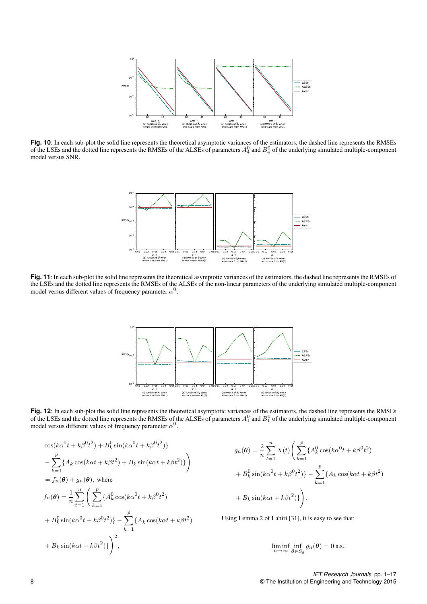

**Fig. 10**: In each sub-plot the solid line represents the theoretical asymptotic variances of the estimators, the dashed line represents the RMSEs of the LSEs and the dotted line represents the RMSEs of the ALSEs of parameters  $A_4^0$  and  $B_4^0$  of the underlying simulated multiple-component model versus SNR.



**Fig. 11**: In each sub-plot the solid line represents the theoretical asymptotic variances of the estimators, the dashed line represents the RMSEs of the LSEs and the dotted line represents the RMSEs of the ALSEs of the non-linear parameters of the underlying simulated multiple-component model versus different values of frequency parameter  $\alpha^0$ .



**Fig. 12**: In each sub-plot the solid line represents the theoretical asymptotic variances of the estimators, the dashed line represents the RMSEs of the LSEs and the dotted line represents the RMSEs of the ALSEs of parameters  $A_1^0$  and  $B_1^0$  of the underlying simulated multiple-component model versus different values of frequency parameter  $\alpha^0$ .

$$
\cos(k\alpha^{0}t + k\beta^{0}t^{2}) + B_{k}^{0}\sin(k\alpha^{0}t + k\beta^{0}t^{2})\}
$$
  
\n
$$
- \sum_{k=1}^{p} \{A_{k}\cos(k\alpha t + k\beta t^{2}) + B_{k}\sin(k\alpha t + k\beta t^{2})\}\)
$$
  
\n
$$
= f_{n}(\theta) + g_{n}(\theta), \text{ where}
$$
  
\n
$$
f_{n}(\theta) = \frac{1}{n} \sum_{t=1}^{n} \left( \sum_{k=1}^{p} \{A_{k}^{0}\cos(k\alpha^{0}t + k\beta^{0}t^{2})
$$
  
\n
$$
+ B_{k}^{0}\sin(k\alpha^{0}t + k\beta^{0}t^{2})\} - \sum_{k=1}^{p} \{A_{k}\cos(k\alpha t + k\beta t^{2})
$$
  
\n
$$
+ B_{k}\sin(k\alpha t + k\beta t^{2})\}\right)^{2},
$$

$$
g_n(\theta) = \frac{2}{n} \sum_{t=1}^n X(t) \left( \sum_{k=1}^p \{ A_k^0 \cos(k\alpha^0 t + k\beta^0 t^2) + B_k^0 \sin(k\alpha^0 t + k\beta^0 t^2) \} - \sum_{k=1}^p \{ A_k \cos(k\alpha t + k\beta t^2) + B_k \sin(k\alpha t + k\beta t^2) \} \right).
$$

Using Lemma 2 of Lahiri [31], it is easy to see that:

$$
\liminf_{n\to\infty}\inf_{\boldsymbol{\theta}\in S_{\delta}}g_n(\boldsymbol{\theta})=0
$$
 a.s..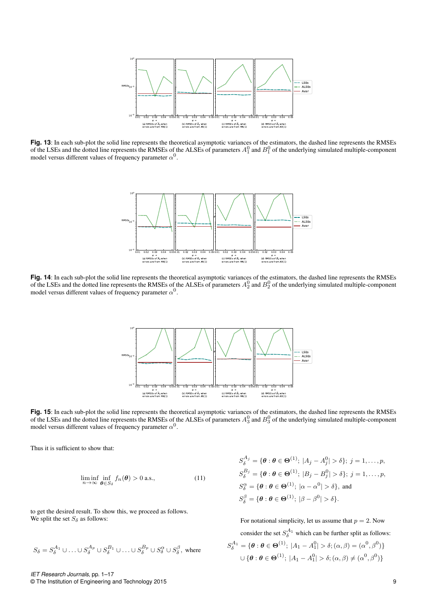

**Fig. 13**: In each sub-plot the solid line represents the theoretical asymptotic variances of the estimators, the dashed line represents the RMSEs of the LSEs and the dotted line represents the RMSEs of the ALSEs of parameters  $A_1^0$  and  $B_1^0$  of the underlying simulated multiple-component model versus different values of frequency parameter  $\alpha^0$ .



**Fig. 14**: In each sub-plot the solid line represents the theoretical asymptotic variances of the estimators, the dashed line represents the RMSEs of the LSEs and the dotted line represents the RMSEs of the ALSEs of parameters  $A_2^0$  and  $B_2^0$  of the underlying simulated multiple-component model versus different values of frequency parameter  $\alpha^0$ .



**Fig. 15**: In each sub-plot the solid line represents the theoretical asymptotic variances of the estimators, the dashed line represents the RMSEs of the LSEs and the dotted line represents the RMSEs of the ALSEs of parameters  $A_3^0$  and  $B_3^0$  of the underlying simulated multiple-component model versus different values of frequency parameter  $\alpha^0$ .

Thus it is sufficient to show that:

$$
\liminf_{n \to \infty} \inf_{\boldsymbol{\theta} \in S_{\delta}} f_n(\boldsymbol{\theta}) > 0 \text{ a.s.}, \tag{11}
$$

to get the desired result. To show this, we proceed as follows. We split the set  $S_{\delta}$  as follows:

$$
S_\delta=S_\delta^{A_1}\cup\ldots\cup S_\delta^{A_p}\cup S_\delta^{B_1}\cup\ldots\cup S_\delta^{B_p}\cup S_\delta^\alpha\cup S_\delta^\beta, \text{ where }
$$

$$
S_{\delta}^{A_j} = \{ \theta : \theta \in \Theta^{(1)}; |A_j - A_j^0| > \delta \}; j = 1, ..., p,
$$
  
\n
$$
S_{\delta}^{B_j} = \{ \theta : \theta \in \Theta^{(1)}; |B_j - B_j^0| > \delta \}; j = 1, ..., p,
$$
  
\n
$$
S_{\delta}^{\alpha} = \{ \theta : \theta \in \Theta^{(1)}; |\alpha - \alpha^0| > \delta \}, \text{ and}
$$
  
\n
$$
S_{\delta}^{\beta} = \{ \theta : \theta \in \Theta^{(1)}; |\beta - \beta^0| > \delta \}.
$$

For notational simplicity, let us assume that  $p = 2$ . Now consider the set  $S_\delta^{A_1}$  which can be further split as follows:  $S_{\delta}^{A_1} = \{ \boldsymbol{\theta} : \boldsymbol{\theta} \in \Theta^{(1)}; |A_1 - A_1^0| > \delta; (\alpha, \beta) = (\alpha^0, \beta^0) \}$  $\cup \{ \boldsymbol{\theta}: \boldsymbol{\theta}\in\boldsymbol{\Theta}^{(1)}; \ |A_1-A_1^0|>\delta; (\alpha,\beta)\neq (\alpha^0,\beta^0)\}$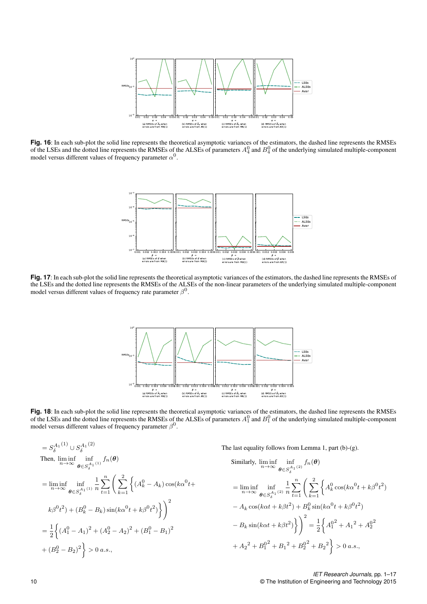

**Fig. 16**: In each sub-plot the solid line represents the theoretical asymptotic variances of the estimators, the dashed line represents the RMSEs of the LSEs and the dotted line represents the RMSEs of the ALSEs of parameters  $A_4^0$  and  $B_4^0$  of the underlying simulated multiple-component model versus different values of frequency parameter  $\alpha^0$ .



**Fig. 17**: In each sub-plot the solid line represents the theoretical asymptotic variances of the estimators, the dashed line represents the RMSEs of the LSEs and the dotted line represents the RMSEs of the ALSEs of the non-linear parameters of the underlying simulated multiple-component model versus different values of frequency rate parameter  $\beta^0$ .



**Fig. 18**: In each sub-plot the solid line represents the theoretical asymptotic variances of the estimators, the dashed line represents the RMSEs of the LSEs and the dotted line represents the RMSEs of the ALSEs of parameters  $A_1^0$  and  $B_1^0$  of the underlying simulated multiple-component model versus different values of frequency parameter  $\beta^0$ .

$$
= S_{\delta}^{A_1(1)} \cup S_{\delta}^{A_1(2)}
$$
  
\nThen,  $\lim_{n \to \infty} \inf_{\theta \in S_{\delta}^{A_1(1)}} f_n(\theta)$   
\n
$$
= \lim_{n \to \infty} \inf_{\theta \in S_{\delta}^{A_1(1)}} \frac{1}{n} \sum_{t=1}^n \left( \sum_{k=1}^2 \left\{ (A_k^0 - A_k) \cos(k\alpha^0 t + \frac{1}{n} \sin \alpha^0 t + \frac{1}{n} \cos(k\alpha^0 t + \frac{1}{n} \sin \alpha^0 t + \frac{1}{n} \cos(k\alpha^0 t + \frac{1}{n} \sin \alpha^0 t + \frac{1}{n} \cos(k\alpha^0 t + \frac{1}{n} \sin \alpha^0 t + \frac{1}{n} \cos(k\alpha^0 t + \frac{1}{n} \sin \alpha^0 t + \frac{1}{n} \cos(k\alpha^0 t + \frac{1}{n} \sin \alpha^0 t + \frac{1}{n} \cos(k\alpha^0 t + \frac{1}{n} \sin \alpha^0 t + \frac{1}{n} \cos(k\alpha^0 t + \frac{1}{n} \sin k\alpha^0 t + \frac{1}{n} \sin(k\alpha^0 t + \frac{1}{n} \sin k\alpha^0 t + \frac{1}{n} \sin k\alpha^0 t + \frac{1}{n} \sin k\alpha^0 t + \frac{1}{n} \sin k\alpha^0 t + \frac{1}{n} \sin k\alpha^0 t + \frac{1}{n} \sin k\alpha^0 t + \frac{1}{n} \sin k\alpha^0 t + \frac{1}{n} \sin k\alpha^0 t + \frac{1}{n} \sin k\alpha^0 t + \frac{1}{n} \sin k\alpha^0 t + \frac{1}{n} \sin k\alpha^0 t + \frac{1}{n} \sin k\alpha^0 t + \frac{1}{n} \sin k\alpha^0 t + \frac{1}{n} \sin k\alpha^0 t + \frac{1}{n} \sin k\alpha^0 t + \frac{1}{n} \sin k\alpha^0 t + \frac{1}{n} \sin k\alpha^0 t + \frac{1}{n} \sin k\alpha^0 t + \frac{1}{n} \sin k\alpha^0 t + \frac{1}{n} \sin k\alpha^0 t + \frac{1}{n} \sin k\alpha^0 t + \frac{1}{n} \sin k\alpha^
$$

 $t^2$ 

2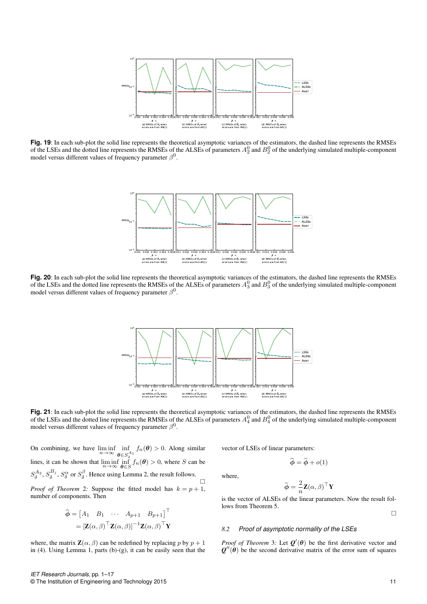

**Fig. 19**: In each sub-plot the solid line represents the theoretical asymptotic variances of the estimators, the dashed line represents the RMSEs of the LSEs and the dotted line represents the RMSEs of the ALSEs of parameters  $A_2^0$  and  $B_2^0$  of the underlying simulated multiple-component model versus different values of frequency parameter  $\beta^0$ .



**Fig. 20**: In each sub-plot the solid line represents the theoretical asymptotic variances of the estimators, the dashed line represents the RMSEs of the LSEs and the dotted line represents the RMSEs of the ALSEs of parameters  $A_3^0$  and  $B_3^0$  of the underlying simulated multiple-component model versus different values of frequency parameter  $\beta^0$ .



**Fig. 21**: In each sub-plot the solid line represents the theoretical asymptotic variances of the estimators, the dashed line represents the RMSEs of the LSEs and the dotted line represents the RMSEs of the ALSEs of parameters  $A_4^0$  and  $B_4^0$  of the underlying simulated multiple-component model versus different values of frequency parameter  $\beta^0$ .

where,

On combining, we have  $\liminf_{n\to\infty} \inf_{\mathbf{a}\in S}$  $\inf_{\boldsymbol{\theta} \in S^{A_1}_{\delta}} f_n(\boldsymbol{\theta}) > 0$ . Along similar lines, it can be shown that  $\liminf_{n\to\infty} \inf_{\theta \in S} f_n(\theta) > 0$ , where S can be  $S_\delta^{A_2}$ ,  $S_\delta^{B_j}$ ,  $S_\delta^{\alpha}$  or  $S_\delta^{\beta}$ . Hence using Lemma 2, the result follows.  $\Box$ *Proof of Theorem* 2*:* Suppose the fitted model has  $k = p + 1$ , number of components. Then

$$
\widehat{\boldsymbol{\phi}} = \begin{bmatrix} A_1 & B_1 & \cdots & A_{p+1} & B_{p+1} \end{bmatrix}^\top
$$

$$
= [\mathbf{Z}(\alpha, \beta)^\top \mathbf{Z}(\alpha, \beta)]^{-1} \mathbf{Z}(\alpha, \beta)^\top \mathbf{Y}
$$

where, the matrix  $\mathbf{Z}(\alpha, \beta)$  can be redefined by replacing p by  $p + 1$ in (4). Using Lemma 1, parts (b)-(g), it can be easily seen that the vector of LSEs of linear parameters:

 $\widehat{\boldsymbol{\phi}} = \widetilde{\boldsymbol{\phi}} + o(1)$ 

$$
\widetilde{\boldsymbol{\phi}} = \frac{2}{n} \mathbf{Z}(\alpha, \beta)^\top \mathbf{Y}
$$

is the vector of ALSEs of the linear parameters. Now the result follows from Theorem 5.

$$
\Box
$$

#### *8.2 Proof of asymptotic normality of the LSEs*

*Proof of Theorem* 3: Let  $Q'(\theta)$  be the first derivative vector and  $Q''(\theta)$  be the second derivative matrix of the error sum of squares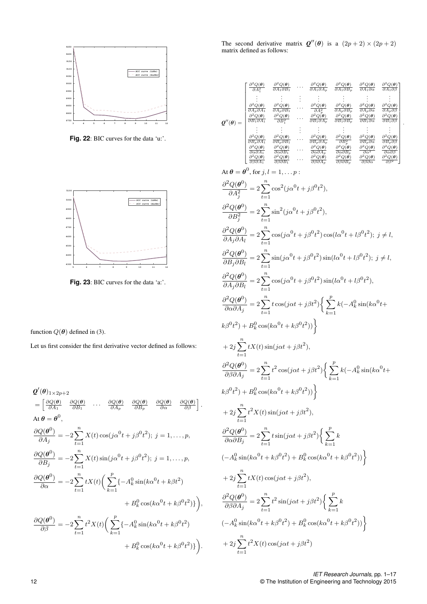

Fig. 22: BIC curves for the data 'u:'.



**Fig. 23**: BIC curves for the data 'a:'.

function  $Q(\boldsymbol{\theta})$  defined in (3).

Let us first consider the first derivative vector defined as follows:

$$
Q'(\theta)_{1\times 2p+2}
$$
  
\n
$$
= \left[\frac{\partial Q(\theta)}{\partial A_1} \frac{\partial Q(\theta)}{\partial B_1} \cdots \frac{\partial Q(\theta)}{\partial A_p} \frac{\partial Q(\theta)}{\partial B_p} \frac{\partial Q(\theta)}{\partial \alpha} \frac{\partial Q(\theta)}{\partial \beta}\right].
$$
  
\nAt  $\theta = \theta^0$ ,  
\n
$$
\frac{\partial Q(\theta^0)}{\partial A_j} = -2 \sum_{t=1}^n X(t) \cos(j\alpha^0 t + j\beta^0 t^2); j = 1, ..., p,
$$
  
\n
$$
\frac{\partial Q(\theta^0)}{\partial B_j} = -2 \sum_{t=1}^n X(t) \sin(j\alpha^0 t + j\beta^0 t^2); j = 1, ..., p,
$$
  
\n
$$
\frac{\partial Q(\theta^0)}{\partial \alpha} = -2 \sum_{t=1}^n t X(t) \left( \sum_{k=1}^p \{-A_k^0 \sin(k\alpha^0 t + k\beta t^2) + B_k^0 \cos(k\alpha^0 t + k\beta^0 t^2)\}\right),
$$
  
\n
$$
\frac{\partial Q(\theta^0)}{\partial \beta} = -2 \sum_{t=1}^n t^2 X(t) \left( \sum_{k=1}^p \{-A_k^0 \sin(k\alpha^0 t + k\beta^0 t^2) + B_k^0 \cos(k\alpha^0 t + k\beta^0 t^2)\}\right).
$$

The second derivative matrix  $Q''(\theta)$  is a  $(2p+2) \times (2p+2)$ matrix defined as follows:

| $Q''(\theta) =$ | $\partial^2 \mathcal{Q}(\pmb{\theta})$<br>$\partial A^2$                              | $\partial^2 \mathcal{Q}(\pmb{\theta})$<br>$\overline{\partial A_1 \partial B_1}$ | $\partial^2 \mathcal{Q}(\pmb{\theta})$<br>$\overline{\partial A_1 \partial A_p}$   | $\partial^2 \mathcal{Q}(\pmb{\theta})$<br>$\overline{\partial A_1 \partial B_p}$ | $\partial^2 Q(\pmb{\theta})$<br>$\overline{\partial A_1 \partial \alpha}$           | $\partial^2 Q(\boldsymbol{\theta})$<br>$\partial A_1 \partial \beta$                     |
|-----------------|---------------------------------------------------------------------------------------|----------------------------------------------------------------------------------|------------------------------------------------------------------------------------|----------------------------------------------------------------------------------|-------------------------------------------------------------------------------------|------------------------------------------------------------------------------------------|
|                 |                                                                                       |                                                                                  |                                                                                    |                                                                                  |                                                                                     |                                                                                          |
|                 | $\partial^2 \mathcal{Q}(\pmb{\theta})$<br>$\overline{\partial A_p \partial A_1}$      | $\partial^2 \mathcal{Q}(\pmb{\theta})$<br>$\partial A_p \partial B_1$            | $\partial^2 \mathcal{Q}(\pmb{\theta})$<br>$\partial A^2$                           | $\partial^2 Q(\pmb{\theta})$<br>$\partial A_p \partial B_p$                      | $\partial^2 Q(\boldsymbol{\theta})$<br>$\partial A_p \partial \alpha$               | $\partial^2 \mathcal{Q}(\boldsymbol{\theta})$<br>$\partial A_p \partial \beta$           |
|                 | $\partial^2 Q(\pmb{\theta})$<br>$\overline{\partial B_1 \partial A_1}$                | $\partial^2 Q(\pmb{\theta})$<br>$\overline{\partial B_1^2}$                      | $\partial^2 \underline{Q(\pmb{\theta})}$<br>$\overline{\partial B_1 \partial A_p}$ | $\partial^2 Q(\pmb{\theta})$<br>$\overline{\partial B_1 \partial B_p}$           | $\partial^2 \mathcal{Q}(\pmb{\theta})$<br>$\overline{\partial B_1 \partial \alpha}$ | $\partial^2 Q(\boldsymbol{\theta})$<br>$\partial B_1 \partial \beta$                     |
|                 |                                                                                       |                                                                                  |                                                                                    |                                                                                  |                                                                                     |                                                                                          |
|                 | $\partial^2 \underline{Q(\pmb{\theta})}$<br>$\overline{\partial B_p \partial A_1}$    | $\partial^2 \mathcal{Q}(\pmb{\theta})$<br>$\overline{\partial B_p \partial B_1}$ | $\partial^2 \mathcal{Q}(\pmb{\theta})$<br>$\overline{\partial B_p \partial A_p}$   | $\partial^2 Q(\boldsymbol{\theta})$<br>$\partial B_n^2$                          | $\partial^2 \mathcal{Q}(\pmb{\theta})$<br>$\overline{\partial B_p\partial\alpha}$   | $\partial^2 Q(\boldsymbol{\theta})$<br>$\partial B_p \partial \beta$                     |
|                 | $\partial^2 \underline{Q(\pmb{\theta})}$<br>$\overline{\partial \alpha \partial A_1}$ | $\partial^2 \underline{Q(\pmb{\theta})}$<br>$\partial \alpha \partial B_1$       | $\partial^2 Q(\pmb{\theta})$<br>$\overline{\partial \alpha \partial A_p}$          | $\partial^2 Q(\pmb{\theta})$<br>$\overline{\partial \alpha \partial B_p}$        | $\partial^2 Q(\pmb{\theta})$<br>$\overrightarrow{\partial \alpha^2}$                | $\partial^2 Q(\boldsymbol{\theta})$<br>$\overrightarrow{\partial \alpha \partial \beta}$ |
|                 | $\partial^2 Q(\pmb{\theta})$<br>$\partial \beta \partial A_1$                         | $\partial^2 Q(\boldsymbol{\theta})$<br>$\partial \beta \partial B_1$             | $\partial^2 \underline{Q(\vec{\theta})}$<br>$\partial \beta \partial A_p$          | $\partial^2 Q(\boldsymbol{\theta})$<br>$\partial \beta \partial B_p$             | $\partial^2 Q(\boldsymbol{\theta})$<br>$\partial \beta \partial \alpha$             | $\partial^2 Q(\boldsymbol{\theta})$<br>$\partial \beta^2$                                |

.

At 
$$
\theta = \theta^0
$$
, for  $j, l = 1, ... p$ :  
\n
$$
\frac{\partial^2 Q(\theta^0)}{\partial A_j^2} = 2 \sum_{t=1}^n \cos^2(j\alpha^0 t + j\beta^0 t^2),
$$
\n
$$
\frac{\partial^2 Q(\theta^0)}{\partial B_j^2} = 2 \sum_{t=1}^n \sin^2(j\alpha^0 t + j\beta^0 t^2),
$$
\n
$$
\frac{\partial^2 Q(\theta^0)}{\partial A_j \partial A_l} = 2 \sum_{t=1}^n \cos(j\alpha^0 t + j\beta^0 t^2) \cos(l\alpha^0 t + l\beta^0 t^2); j \neq l,
$$
\n
$$
\frac{\partial^2 Q(\theta^0)}{\partial B_j \partial B_l} = 2 \sum_{t=1}^n \sin(j\alpha^0 t + j\beta^0 t^2) \sin(l\alpha^0 t + l\beta^0 t^2); j \neq l,
$$
\n
$$
\frac{\partial^2 Q(\theta^0)}{\partial A_j \partial B_l} = 2 \sum_{t=1}^n \cos(j\alpha^0 t + j\beta^0 t^2) \sin(l\alpha^0 t + l\beta^0 t^2),
$$
\n
$$
\frac{\partial^2 Q(\theta^0)}{\partial \alpha \partial A_j} = 2 \sum_{t=1}^n t \cos(j\alpha t + j\beta t^2) \left\{ \sum_{k=1}^p k(-A_k^0 \sin(k\alpha^0 t + k\beta^0 t^2) + B_k^0 \cos(k\alpha^0 t + k\beta^0 t^2) \right\}
$$
\n
$$
+ 2j \sum_{t=1}^n tX(t) \sin(j\alpha t + j\beta t^2),
$$
\n
$$
\frac{\partial^2 Q(\theta^0)}{\partial \beta \partial A_j} = 2 \sum_{t=1}^n t^2 \cos(j\alpha t + j\beta t^2) \left\{ \sum_{k=1}^p k(-A_k^0 \sin(k\alpha^0 t + k\beta^0 t^2)) \right\}
$$
\n
$$
+ 2j \sum_{t=1}^n t^2 X(t) \sin(j\alpha t + j\beta t^2),
$$
\n
$$
\frac{\partial^2 Q(\theta^0)}{\partial \alpha \partial B_j} = 2 \sum_{t=1}^n t \sin(j\alpha t + j\beta t^2) \left\{ \sum_{k=1}^p
$$

*IET Research Journals,* pp. 1–17 12 © The Institution of Engineering and Technology 2015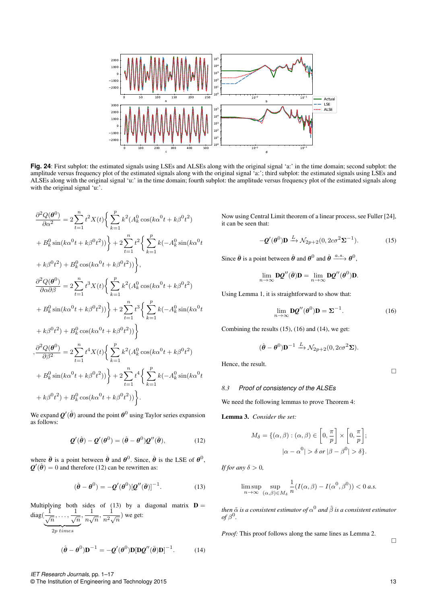

**Fig. 24**: First subplot: the estimated signals using LSEs and ALSEs along with the original signal 'a:' in the time domain; second subplot: the amplitude versus frequency plot of the estimated signals along with the original signal 'a:'; third subplot: the estimated signals using LSEs and ALSEs along with the original signal 'u:' in the time domain; fourth subplot: the amplitude versus frequency plot of the estimated signals along with the original signal 'u:'.

$$
\frac{\partial^2 Q(\theta^0)}{\partial \alpha^2} = 2 \sum_{t=1}^n t^2 X(t) \Big\{ \sum_{k=1}^p k^2 (A_k^0 \cos(k\alpha^0 t + k\beta^0 t^2) + B_k^0 \sin(k\alpha^0 t + k\beta^0 t^2) \Big\} + 2 \sum_{t=1}^n t^2 \Big\{ \sum_{k=1}^p k (-A_k^0 \sin(k\alpha^0 t + k\beta^0 t^2) + B_k^0 \cos(k\alpha^0 t + k\beta^0 t^2) \Big\},
$$
  

$$
\frac{\partial^2 Q(\theta^0)}{\partial \alpha \partial \beta} = 2 \sum_{t=1}^n t^3 X(t) \Big\{ \sum_{k=1}^p k^2 (A_k^0 \cos(k\alpha^0 t + k\beta^0 t^2) + B_k^0 \sin(k\alpha^0 t + k\beta^0 t^2) \Big\} + 2 \sum_{t=1}^n t^3 \Big\{ \sum_{k=1}^p k (-A_k^0 \sin(k\alpha^0 t + k\beta^0 t^2) + B_k^0 \cos(k\alpha^0 t + k\beta^0 t^2) \Big\}
$$
  

$$
\frac{\partial^2 Q(\theta^0)}{\partial \beta^2} = 2 \sum_{t=1}^n t^4 X(t) \Big\{ \sum_{k=1}^p k^2 (A_k^0 \cos(k\alpha^0 t + k\beta^0 t^2) + B_k^0 \sin(k\alpha^0 t + k\beta^0 t^2) \Big\} + 2 \sum_{t=1}^n t^4 \Big\{ \sum_{k=1}^p k (-A_k^0 \sin(k\alpha^0 t + k\beta^0 t^2) + B_k^0 \cos(k\alpha^0 t + k\beta^0 t^2) \Big\}.
$$

We expand  $\boldsymbol{\mathcal{Q}}'(\hat{\boldsymbol{\theta}})$  around the point  $\boldsymbol{\theta}^0$  using Taylor series expansion as follows:

$$
\mathbf{Q}'(\hat{\boldsymbol{\theta}}) - \mathbf{Q}'(\boldsymbol{\theta}^0) = (\hat{\boldsymbol{\theta}} - \boldsymbol{\theta}^0)\mathbf{Q}''(\bar{\boldsymbol{\theta}}),\tag{12}
$$

where  $\bar{\theta}$  is a point between  $\hat{\theta}$  and  $\theta^0$ . Since,  $\hat{\theta}$  is the LSE of  $\theta^0$ ,  $\mathbf{Q}'(\hat{\theta}) = 0$  and therefore (12) can be rewritten as:

$$
(\hat{\boldsymbol{\theta}} - \boldsymbol{\theta}^0) = -\boldsymbol{Q}'(\boldsymbol{\theta}^0)[\boldsymbol{Q}''(\bar{\boldsymbol{\theta}})]^{-1}.
$$
 (13)

Multiplying both sides of (13) by a diagonal matrix  $\mathbf{D} = \begin{bmatrix} 1 & 1 & 1 \end{bmatrix}$ diag(  $\frac{1}{\sqrt{n}}$ , . . . ,  $\frac{1}{\sqrt{n}}, \frac{1}{n\sqrt{n}}$  ${2p \ times}$  $\frac{1}{n\sqrt{n}}, \frac{1}{n^2}$  $\frac{1}{n^2\sqrt{n}}$ ) we get:

$$
(\hat{\boldsymbol{\theta}} - \boldsymbol{\theta}^0)\mathbf{D}^{-1} = -\boldsymbol{Q}'(\boldsymbol{\theta}^0)\mathbf{D}[\mathbf{D}\boldsymbol{Q}''(\bar{\boldsymbol{\theta}})\mathbf{D}]^{-1}.
$$
 (14)

Now using Central Limit theorem of a linear process, see Fuller [24], it can be seen that:

$$
-\mathbf{Q}'(\boldsymbol{\theta}^{0})\mathbf{D} \xrightarrow{L} \mathcal{N}_{2p+2}(0, 2c\sigma^{2}\Sigma^{-1}).
$$
 (15)

Since  $\bar{\theta}$  is a point between  $\hat{\theta}$  and  $\theta^0$  and  $\hat{\theta} \stackrel{a.s.}{\longrightarrow} \theta^0$ ,

$$
\lim_{n\to\infty}\mathbf{D}\mathbf{Q}''(\bar{\boldsymbol{\theta}})\mathbf{D}=\lim_{n\to\infty}\mathbf{D}\mathbf{Q}''(\boldsymbol{\theta}^0)\mathbf{D}.
$$

Using Lemma 1, it is straightforward to show that:

$$
\lim_{n \to \infty} \mathbf{D} \mathbf{Q}''(\boldsymbol{\theta}^0) \mathbf{D} = \boldsymbol{\Sigma}^{-1}.
$$
 (16)

Combining the results (15), (16) and (14), we get:

$$
(\hat{\boldsymbol{\theta}} - \boldsymbol{\theta}^0)\mathbf{D}^{-1} \xrightarrow{L} \mathcal{N}_{2p+2}(0, 2c\sigma^2\mathbf{\Sigma}).
$$

Hence, the result.

 $\Box$ 

#### *8.3 Proof of consistency of the ALSEs*

We need the following lemmas to prove Theorem 4:

Lemma 3. *Consider the set:*

$$
M_{\delta} = \{(\alpha, \beta) : (\alpha, \beta) \in \left[0, \frac{\pi}{p}\right] \times \left[0, \frac{\pi}{p}\right];
$$

$$
|\alpha - \alpha^{0}| > \delta \text{ or } |\beta - \beta^{0}| > \delta\}.
$$

*If for any*  $\delta > 0$ *,* 

$$
\limsup_{n \to \infty} \sup_{(\alpha,\beta) \in M_{\delta}} \frac{1}{n} (I(\alpha,\beta) - I(\alpha^0, \beta^0)) < 0 \text{ a.s.}
$$

then  $\tilde{\alpha}$  is a consistent estimator of  $\alpha^0$  and  $\tilde{\beta}$  is a consistent estimator  $of \beta^0$ .

*Proof:* This proof follows along the same lines as Lemma 2.

 $\Box$ 

#### *IET Research Journals,* pp. 1–17 © The Institution of Engineering and Technology 2015 13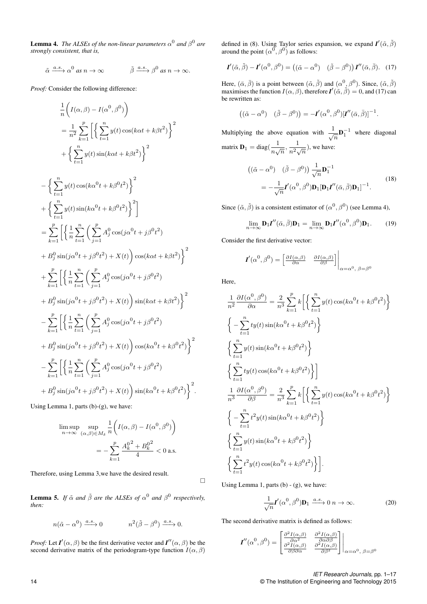**Lemma 4.** The ALSEs of the non-linear parameters  $\alpha^0$  and  $\beta^0$  are *strongly consistent, that is,*

$$
\tilde{\alpha} \xrightarrow{a.s.} \alpha^0 \text{ as } n \to \infty \qquad \qquad \tilde{\beta} \xrightarrow{a.s.} \beta^0 \text{ as } n \to \infty.
$$

*Proof:* Consider the following difference:

$$
\frac{1}{n}\left(I(\alpha,\beta) - I(\alpha^{0},\beta^{0})\right)
$$
\n
$$
= \frac{1}{n^{2}}\sum_{k=1}^{p}\left[\left\{\sum_{t=1}^{n}y(t)\cos(k\alpha t + k\beta t^{2})\right\}^{2}\right.\right.
$$
\n
$$
+\left\{\sum_{t=1}^{n}y(t)\sin(k\alpha t + k\beta t^{2})\right\}^{2}
$$
\n
$$
-\left\{\sum_{t=1}^{n}y(t)\cos(k\alpha^{0}t + k\beta^{0}t^{2})\right\}^{2}
$$
\n
$$
+\left\{\sum_{t=1}^{n}y(t)\sin(k\alpha^{0}t + k\beta^{0}t^{2})\right\}^{2}
$$
\n
$$
=\sum_{k=1}^{p}\left[\left\{\frac{1}{n}\sum_{t=1}^{n}\left(\sum_{j=1}^{p}A_{j}^{0}\cos(j\alpha^{0}t + j\beta^{0}t^{2})\right.\right.
$$
\n
$$
+B_{j}^{0}\sin(j\alpha^{0}t + j\beta^{0}t^{2}) + X(t)\right)\cos(k\alpha t + k\beta t^{2})\right\}^{2}
$$
\n
$$
+B_{j}^{0}\sin(j\alpha^{0}t + j\beta^{0}t^{2}) + X(t)\sin(k\alpha t + k\beta t^{2})
$$
\n
$$
+B_{j}^{0}\sin(j\alpha^{0}t + j\beta^{0}t^{2}) + X(t)\sin(k\alpha t + k\beta t^{2})
$$
\n
$$
-\sum_{k=1}^{p}\left[\left\{\frac{1}{n}\sum_{t=1}^{n}\left(\sum_{j=1}^{p}A_{j}^{0}\cos(j\alpha^{0}t + j\beta^{0}t^{2})\right.\right.
$$
\n
$$
+B_{j}^{0}\sin(j\alpha^{0}t + j\beta^{0}t^{2}) + X(t)\right)\cos(k\alpha^{0}t + k\beta^{0}t^{2})\right\}^{2}
$$
\n
$$
- \sum_{k=1}^{p}\left[\left\{\frac{1}{n}\sum_{t=1}^{n}\left(\sum_{j=1}^{p}A_{j}^{0}\cos(j\alpha^{0}t + j\beta^{0}t^{2})\right.\right.
$$
\n
$$
+B_{j}^{0}\sin(j\alpha^{0}t + j\beta^{0}
$$

Using Lemma 1, parts (b)-(g), we have:

$$
\limsup_{n \to \infty} \sup_{(\alpha,\beta) \in M_{\delta}} \frac{1}{n} \left( I(\alpha,\beta) - I(\alpha^0,\beta^0) \right)
$$

$$
= -\sum_{k=1}^p \frac{A_k^0 + B_k^0}{4} < 0 \text{ a.s.}
$$

Therefore, using Lemma 3,we have the desired result.

**Lemma 5.** If  $\tilde{\alpha}$  and  $\tilde{\beta}$  are the ALSEs of  $\alpha^0$  and  $\beta^0$  respectively, *then:*

$$
n(\tilde{\alpha} - \alpha^0) \xrightarrow{a.s.} 0 \qquad n^2(\tilde{\beta} - \beta^0) \xrightarrow{a.s.} 0.
$$

*Proof:* Let  $I'(\alpha, \beta)$  be the first derivative vector and  $I''(\alpha, \beta)$  be the second derivative matrix of the periodogram-type function  $I(\alpha, \beta)$  defined in (8). Using Taylor series expansion, we expand  $I'(\tilde{\alpha}, \tilde{\beta})$ around the point  $(\alpha^0, \beta^0)$  as follows:

$$
\mathbf{I}'(\tilde{\alpha}, \tilde{\beta}) - \mathbf{I}'(\alpha^0, \beta^0) = ((\tilde{\alpha} - \alpha^0) \quad (\tilde{\beta} - \beta^0)) \mathbf{I}''(\bar{\alpha}, \bar{\beta}). \tag{17}
$$

Here,  $(\bar{\alpha}, \bar{\beta})$  is a point between  $(\tilde{\alpha}, \tilde{\beta})$  and  $(\alpha^0, \beta^0)$ . Since,  $(\tilde{\alpha}, \tilde{\beta})$ maximises the function  $I(\alpha, \beta)$ , therefore  $I'(\tilde{\alpha}, \tilde{\beta}) = 0$ , and (17) can be rewritten as:

$$
((\tilde{\alpha} - \alpha^0) \quad (\tilde{\beta} - \beta^0)) = -I'(\alpha^0, \beta^0)[I''(\bar{\alpha}, \bar{\beta})]^{-1}.
$$

Multiplying the above equation with  $\frac{1}{\sqrt{n}} \mathbf{D}_1^{-1}$  where diagonal matrix  $\mathbf{D}_1 = \text{diag}(\frac{1}{\sigma^2})$  $\frac{1}{n\sqrt{n}}, \frac{1}{n^2}$  $\frac{1}{n^2\sqrt{n}}$ , we have:  $((\tilde{\alpha} - \alpha^0) \quad (\tilde{\beta} - \beta^0)) \frac{1}{\sqrt{n}} \mathbf{D}_1^{-1}$  $=-\frac{1}{\sqrt{n}}I'(\alpha^0,\beta^0)\mathbf{D}_1[\mathbf{D}_1I''(\bar{\alpha},\bar{\beta})\mathbf{D}_1]^{-1}.$ (18)

Since  $(\tilde{\alpha}, \tilde{\beta})$  is a consistent estimator of  $(\alpha^0, \beta^0)$  (see Lemma 4),

$$
\lim_{n \to \infty} \mathbf{D}_1 \mathbf{I}''(\bar{\alpha}, \bar{\beta}) \mathbf{D}_1 = \lim_{n \to \infty} \mathbf{D}_1 \mathbf{I}''(\alpha^0, \beta^0) \mathbf{D}_1.
$$
 (19)

Consider the first derivative vector:

$$
\boldsymbol{I}'(\alpha^0, \beta^0) = \begin{bmatrix} \frac{\partial I(\alpha, \beta)}{\partial \alpha} & \frac{\partial I(\alpha, \beta)}{\partial \beta} \end{bmatrix} \Big|_{\alpha = \alpha^0, \ \beta = \beta^0}
$$

Here,

 $\Box$ 

$$
\frac{1}{n^2} \frac{\partial I(\alpha^0, \beta^0)}{\partial \alpha} = \frac{2}{n^3} \sum_{k=1}^p k \left[ \left\{ \sum_{t=1}^n y(t) \cos(k\alpha^0 t + k\beta^0 t^2) \right\} \right]
$$
\n
$$
\left\{ -\sum_{t=1}^n t y(t) \sin(k\alpha^0 t + k\beta^0 t^2) \right\}
$$
\n
$$
\left\{ \sum_{t=1}^n y(t) \sin(k\alpha^0 t + k\beta^0 t^2) \right\}
$$
\n
$$
\left\{ \sum_{t=1}^n t y(t) \cos(k\alpha^0 t + k\beta^0 t^2) \right\}
$$
\n
$$
\frac{1}{n^3} \frac{\partial I(\alpha^0, \beta^0)}{\partial \beta} = \frac{2}{n^3} \sum_{k=1}^p k \left[ \left\{ \sum_{t=1}^n y(t) \cos(k\alpha^0 t + k\beta^0 t^2) \right\} \right]
$$
\n
$$
\left\{ -\sum_{t=1}^n t^2 y(t) \sin(k\alpha^0 t + k\beta^0 t^2) \right\}
$$
\n
$$
\left\{ \sum_{t=1}^n y(t) \sin(k\alpha^0 t + k\beta^0 t^2) \right\}
$$
\n
$$
\left\{ \sum_{t=1}^n t^2 y(t) \cos(k\alpha^0 t + k\beta^0 t^2) \right\}.
$$

Using Lemma 1, parts  $(b) - (g)$ , we have:

$$
\frac{1}{\sqrt{n}} \mathbf{I}'(\alpha^0, \beta^0) \mathbf{D}_1 \xrightarrow{a.s.} 0 \quad n \to \infty.
$$
 (20)

The second derivative matrix is defined as follows:

$$
\boldsymbol{I}''(\alpha^0, \beta^0) = \begin{bmatrix} \frac{\partial^2 I(\alpha, \beta)}{\partial \alpha^2} & \frac{\partial^2 I(\alpha, \beta)}{\partial \alpha \partial \beta} \\ \frac{\partial^2 I(\alpha, \beta)}{\partial \beta \partial \alpha} & \frac{\partial^2 I(\alpha, \beta)}{\partial \beta^2} \end{bmatrix}_{\alpha = \alpha^0, \beta = \beta^0}
$$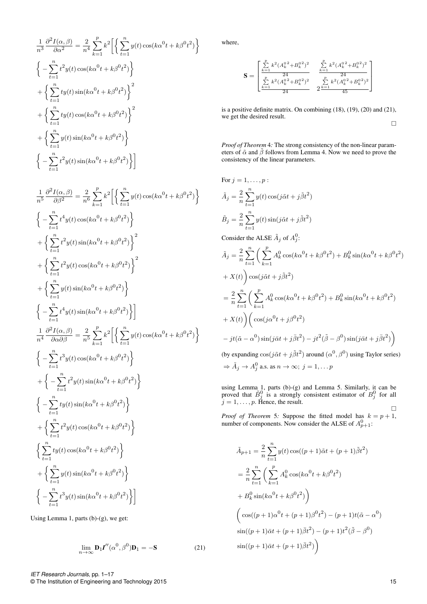$$
\frac{1}{n^3} \frac{\partial^2 I(\alpha, \beta)}{\partial \alpha^2} = \frac{2}{n^4} \sum_{k=1}^p k^2 \left[ \left\{ \sum_{t=1}^n y(t) \cos(k\alpha^0 t + k\beta^0 t^2) \right\} \right]
$$
\n
$$
\left\{ -\sum_{t=1}^n t^2 y(t) \cos(k\alpha^0 t + k\beta^0 t^2) \right\}
$$
\n
$$
+ \left\{ \sum_{t=1}^n t y(t) \sin(k\alpha^0 t + k\beta^0 t^2) \right\}^2
$$
\n
$$
+ \left\{ \sum_{t=1}^n t y(t) \cos(k\alpha^0 t + k\beta^0 t^2) \right\}^2
$$
\n
$$
+ \left\{ \sum_{t=1}^n y(t) \sin(k\alpha^0 t + k\beta^0 t^2) \right\}
$$
\n
$$
\left\{ -\sum_{t=1}^n t^2 y(t) \sin(k\alpha^0 t + k\beta^0 t^2) \right\}
$$

$$
\frac{1}{n^5} \frac{\partial^2 I(\alpha, \beta)}{\partial \beta^2} = \frac{2}{n^6} \sum_{k=1}^p k^2 \left[ \left\{ \sum_{t=1}^n y(t) \cos(k\alpha^0 t + k\beta^0 t^2) \right\} \right]
$$
\n
$$
\left\{ -\sum_{t=1}^n t^4 y(t) \cos(k\alpha^0 t + k\beta^0 t^2) \right\}
$$
\n
$$
+ \left\{ \sum_{t=1}^n t^2 y(t) \sin(k\alpha^0 t + k\beta^0 t^2) \right\}^2
$$
\n
$$
+ \left\{ \sum_{t=1}^n t^2 y(t) \cos(k\alpha^0 t + k\beta^0 t^2) \right\}^2
$$
\n
$$
+ \left\{ \sum_{t=1}^n y(t) \sin(k\alpha^0 t + k\beta^0 t^2) \right\}
$$
\n
$$
\left\{ -\sum_{t=1}^n t^4 y(t) \sin(k\alpha^0 t + k\beta^0 t^2) \right\}
$$
\n
$$
\left\{ -\sum_{t=1}^n t^4 y(t) \sin(k\alpha^0 t + k\beta^0 t^2) \right\}
$$
\n
$$
\left\{ -\sum_{t=1}^n t^3 y(t) \cos(k\alpha^0 t + k\beta^0 t^2) \right\}
$$
\n
$$
\left\{ -\sum_{t=1}^n t^3 y(t) \cos(k\alpha^0 t + k\beta^0 t^2) \right\}
$$
\n
$$
+ \left\{ -\sum_{t=1}^n t^2 y(t) \sin(k\alpha^0 t + k\beta^0 t^2) \right\}
$$
\n
$$
\left\{ -\sum_{t=1}^n ty(t) \cos(k\alpha^0 t + k\beta^0 t^2) \right\}
$$
\n
$$
\left\{ \sum_{t=1}^n t^2 y(t) \cos(k\alpha^0 t + k\beta^0 t^2) \right\}
$$
\n
$$
+ \left\{ \sum_{t=1}^n t^2 y(t) \cos(k\alpha^0 t + k\beta^0 t^2) \right\}
$$
\n
$$
\left\{ -\sum_{t=1}^n t^3 y(t) \sin(k\alpha^0 t + k\beta^0 t^2) \right\}
$$

Using Lemma 1, parts (b)-(g), we get:

$$
\lim_{n \to \infty} \mathbf{D}_1 \mathbf{I}''(\alpha^0, \beta^0) \mathbf{D}_1 = -\mathbf{S}
$$
 (21)

where,

$$
\mathbf{S} = \begin{bmatrix} \sum_{k=1}^{p} k^2 (A_k^0 + B_k^0)^2 & \sum_{k=1}^{p} k^2 (A_k^0 + B_k^0)^2\\ \sum_{k=1}^{p} k^2 (A_k^0 + B_k^0)^2 & \sum_{k=1}^{p} k^2 (A_k^0 + B_k^0)^2\\ \frac{k-1}{24} & 2^{\frac{p}{2}} & \frac{k^2 (A_k^0 + B_k^0)^2}{45} \end{bmatrix}
$$

is a positive definite matrix. On combining (18), (19), (20) and (21), we get the desired result.

 $\Box$ 

*Proof of Theorem* 4*:* The strong consistency of the non-linear parameters of  $\tilde{\alpha}$  and  $\tilde{\beta}$  follows from Lemma 4. Now we need to prove the consistency of the linear parameters.

For 
$$
j = 1, ..., p
$$
:  
\n
$$
\tilde{A}_{j} = \frac{2}{n} \sum_{t=1}^{n} y(t) \cos(j\tilde{\alpha}t + j\tilde{\beta}t^{2})
$$
\n
$$
\tilde{B}_{j} = \frac{2}{n} \sum_{t=1}^{n} y(t) \sin(j\tilde{\alpha}t + j\tilde{\beta}t^{2})
$$
\nConsider the ALSE  $\tilde{A}_{j}$  of  $A_{j}^{0}$ :  
\n
$$
\tilde{A}_{j} = \frac{2}{n} \sum_{t=1}^{n} \left( \sum_{k=1}^{p} A_{k}^{0} \cos(k\alpha^{0}t + k\beta^{0}t^{2}) + B_{k}^{0} \sin(k\alpha^{0}t + k\beta^{0}t^{2}) + X(t) \right) \cos(j\tilde{\alpha}t + j\tilde{\beta}t^{2})
$$
\n
$$
= \frac{2}{n} \sum_{t=1}^{n} \left( \sum_{k=1}^{p} A_{k}^{0} \cos(k\alpha^{0}t + k\beta^{0}t^{2}) + B_{k}^{0} \sin(k\alpha^{0}t + k\beta^{0}t^{2}) + X(t) \right) \left( \cos(j\alpha^{0}t + j\beta^{0}t^{2}) - jt(\tilde{\alpha} - \alpha^{0}) \sin(j\tilde{\alpha}t + j\tilde{\beta}t^{2}) - jt^{2}(\tilde{\beta} - \beta^{0}) \sin(j\tilde{\alpha}t + j\tilde{\beta}t^{2}) \right)
$$
\n(by expanding  $\cos(j\tilde{\alpha}t + j\tilde{\beta}t^{2})$  around  $(\alpha^{0}, \beta^{0})$  using Taylor series)  
\n $\Rightarrow \tilde{A}_{j} \rightarrow A_{j}^{0}$  a.s. as  $n \rightarrow \infty$ ;  $j = 1, ... p$ 

using Lemma 1, parts (b)-(g) and Lemma 5. Similarly, it can be proved that  $\tilde{B}_j^0$  is a strongly consistent estimator of  $B_j^0$  for all  $j = 1, \ldots, p$ . Hence, the result.  $\Box$ 

*Proof of Theorem* 5: Suppose the fitted model has  $k = p + 1$ , number of components. Now consider the ALSE of  $A_{p+1}^0$ :

$$
\tilde{A}_{p+1} = \frac{2}{n} \sum_{t=1}^{n} y(t) \cos((p+1)\tilde{\alpha}t + (p+1)\tilde{\beta}t^{2})
$$
\n
$$
= \frac{2}{n} \sum_{t=1}^{n} \left( \sum_{k=1}^{p} A_{k}^{0} \cos(k\alpha^{0}t + k\beta^{0}t^{2}) + B_{k}^{0} \sin(k\alpha^{0}t + k\beta^{0}t^{2}) \right)
$$
\n
$$
\left( \cos((p+1)\alpha^{0}t + (p+1)\beta^{0}t^{2}) - (p+1)t(\tilde{\alpha} - \alpha^{0}) \right)
$$
\n
$$
\sin((p+1)\tilde{\alpha}t + (p+1)\tilde{\beta}t^{2}) - (p+1)t^{2}(\tilde{\beta} - \beta^{0})
$$
\n
$$
\sin((p+1)\tilde{\alpha}t + (p+1)\tilde{\beta}t^{2}) \right)
$$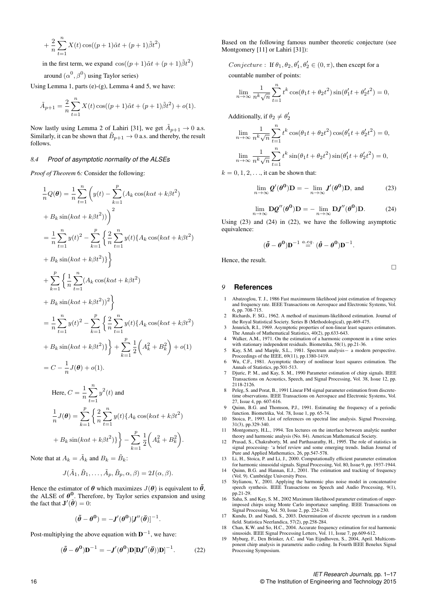$$
+\frac{2}{n}\sum_{t=1}^{n}X(t)\cos((p+1)\tilde{\alpha}t + (p+1)\tilde{\beta}t^{2})
$$

in the first term, we expand  $\cos((p+1)\tilde{\alpha}t + (p+1)\tilde{\beta}t^2)$ 

around  $(\alpha^0, \beta^0)$  using Taylor series)

Using Lemma 1, parts (e)-(g), Lemma 4 and 5, we have:

$$
\tilde{A}_{p+1} = \frac{2}{n} \sum_{t=1}^{n} X(t) \cos((p+1)\tilde{\alpha}t + (p+1)\tilde{\beta}t^2) + o(1).
$$

Now lastly using Lemma 2 of Lahiri [31], we get  $\tilde{A}_{p+1} \to 0$  a.s. Similarly, it can be shown that  $\tilde{B}_{p+1} \to 0$  a.s. and thereby, the result follows.

## *8.4 Proof of asymptotic normality of the ALSEs*

*Proof of Theorem* 6*:* Consider the following:

$$
\frac{1}{n}Q(\theta) = \frac{1}{n}\sum_{t=1}^{n} \left(y(t) - \sum_{k=1}^{p} (A_k \cos(k\alpha t + k\beta t^2) + B_k \sin(k\alpha t + k\beta t^2)\right)
$$
\n
$$
= \frac{1}{n}\sum_{t=1}^{n} y(t)^2 - \sum_{k=1}^{p} \left\{\frac{2}{n}\sum_{t=1}^{n} y(t)\{A_k \cos(k\alpha t + k\beta t^2) + B_k \sin(k\alpha t + k\beta t^2)\}\right\}
$$
\n
$$
+ \sum_{k=1}^{p} \left\{\frac{1}{n}\sum_{t=1}^{n} (A_k \cos(k\alpha t + k\beta t^2) + B_k \sin(k\alpha t + k\beta t^2)^2\right\}
$$
\n
$$
= \frac{1}{n}\sum_{t=1}^{n} y(t)^2 - \sum_{k=1}^{p} \left\{\frac{2}{n}\sum_{t=1}^{n} y(t)\{A_k \cos(k\alpha t + k\beta t^2) + B_k \sin(k\alpha t + k\beta t^2)\}\right\} + \sum_{k=1}^{p} \frac{1}{2}\left(A_k^2 + B_k^2\right) + o(1)
$$
\n
$$
= C - \frac{1}{n}J(\theta) + o(1).
$$
\nHere,  $C = \frac{1}{n}\sum_{t=1}^{n} y^2(t)$  and\n
$$
\frac{1}{n}J(\theta) = \sum_{k=1}^{p} \left\{\frac{2}{n}\sum_{t=1}^{n} y(t)\{A_k \cos(k\alpha t + k\beta t^2) + B_k \sin(k\alpha t + k\beta t^2)\}\right\} - \sum_{k=1}^{p} \frac{1}{2}\left(A_k^2 + B_k^2\right).
$$

Note that at  $A_k = \tilde{A}_k$  and  $B_k = \tilde{B}_k$ :

$$
J(\tilde{A}_1, \tilde{B}_1, \dots, \tilde{A}_p, \tilde{B}_p, \alpha, \beta) = 2I(\alpha, \beta).
$$

Hence the estimator of  $\theta$  which maximizes  $J(\theta)$  is equivalent to  $\tilde{\theta}$ , the ALSE of  $\theta^0$ . Therefore, by Taylor series expansion and using the fact that  $\mathbf{J}'(\tilde{\boldsymbol{\theta}}) = 0$ :

$$
(\tilde{\theta} - \theta^0) = -J'(\theta^0)[J''(\bar{\theta})]^{-1}.
$$

Post-multiplying the above equation with  $\mathbf{D}^{-1}$ , we have:

$$
(\tilde{\boldsymbol{\theta}} - \boldsymbol{\theta}^{\mathbf{0}})\mathbf{D}^{-1} = -\mathbf{J}'(\boldsymbol{\theta}^{\mathbf{0}})\mathbf{D}[\mathbf{D}\mathbf{J}''(\bar{\boldsymbol{\theta}}))\mathbf{D}]^{-1}.
$$
 (22)

Based on the following famous number theoretic conjecture (see Montgomery [11] or Lahiri [31]):

*Conjecture* : If  $\theta_1, \theta_2, \theta'_1, \theta'_2 \in (0, \pi)$ , then except for a countable number of points:

 $\lim_{n\to\infty}\frac{1}{n^k}$  $\frac{1}{n^k\sqrt{n}}$  $\sum_{n=1}^{\infty}$  $t=1$  $t^k \cos(\theta_1 t + \theta_2 t^2) \sin(\theta_1' t + \theta_2' t^2) = 0,$ 

Additionally, if  $\theta_2 \neq \theta'_2$ 

$$
\lim_{n \to \infty} \frac{1}{n^k \sqrt{n}} \sum_{t=1}^n t^k \cos(\theta_1 t + \theta_2 t^2) \cos(\theta_1' t + \theta_2' t^2) = 0,
$$
  

$$
\lim_{n \to \infty} \frac{1}{n^k \sqrt{n}} \sum_{t=1}^n t^k \sin(\theta_1 t + \theta_2' t^2) \sin(\theta_1' t + \theta_2' t^2) = 0,
$$

 $k = 0, 1, 2, \ldots$  it can be shown that:

$$
\lim_{n \to \infty} \mathbf{Q}'(\boldsymbol{\theta}^{\mathbf{0}}) \mathbf{D} = -\lim_{n \to \infty} \mathbf{J}'(\boldsymbol{\theta}^{\mathbf{0}}) \mathbf{D}, \text{ and}
$$
 (23)

$$
\lim_{n \to \infty} \mathbf{D} \mathbf{Q}''(\boldsymbol{\theta}^{\mathbf{0}}) \mathbf{D} = -\lim_{n \to \infty} \mathbf{D} \mathbf{J}''(\boldsymbol{\theta}^{\mathbf{0}}) \mathbf{D}.
$$
 (24)

Using (23) and (24) in (22), we have the following asymptotic equivalence:

$$
(\tilde{\theta} - \theta^0) \mathbf{D}^{-1} \stackrel{\text{a.eq.}}{=} (\hat{\theta} - \theta^0) \mathbf{D}^{-1}.
$$

Hence, the result.

 $\Box$ 

## *9* **References**

- 1 Abatzoglou, T. J., 1986 Fast maximnurm likelihood joint estimation of frequency and frequency rate. IEEE Transactions on Aerospace and Electronic Systems, Vol. 6, pp. 708-715.
- 2 Richards, F. SG., 1962. A method of maximum-likelihood estimation. Journal of the Royal Statistical Society. Series B (Methodological), pp.469-475.
- 3 Jennrich, R.I., 1969. Asymptotic properties of non-linear least squares estimators. The Annals of Mathematical Statistics, 40(2), pp.633-643. 4 Walker, A.M., 1971. On the estimation of a harmonic component in a time series
- with stationary independent residuals. Biometrika, 58(1), pp.21-36. 5 Kay, S.M. and Marple, S.L., 1981. Spectrum analysis− a modern perspective.
- Proceedings of the IEEE, 69(11), pp.1380-1419. 6 Wu, C.F., 1981. Asymptotic theory of nonlinear least squares estimation. The
- Annals of Statistics, pp.501-513. 7 Djuric, P. M., and Kay, S. M., 1990 Parameter estimation of chirp signals. IEEE
- Transactions on Acoustics, Speech, and Signal Processing, Vol. 38, Issue 12, pp. 2118-2126.
- Peleg, S. and Porat, B., 1991 Linear FM signal parameter estimation from discretetime observations. IEEE Transactions on Aerospace and Electronic Systems, Vol. 27, Issue 4, pp. 607-616.
- 9 Quinn, B.G. and Thomson, P.J., 1991. Estimating the frequency of a periodic function. Biometrika, Vol. 78, Issue 1, pp. 65-74.
- 10 Stoica, P., 1993. List of references on spectral line analysis. Signal Processing, 31(3), pp.329-340.
- 11 Montgomery, H.L., 1994. Ten lectures on the interface between analytic number theory and harmonic analysis (No. 84). American Mathematical Society.
- 12 Prasad, S., Chakraborty, M. and Parthasarathy, H., 1995. The role of statistics in signal processing- 'a brief review and some emerging trends. Indian Journal of Pure and Applied Mathematics, 26, pp.547-578.
- 13 Li, H., Stoica, P. and Li, J., 2000. Computationally efficient parameter estimation for harmonic sinusoidal signals. Signal Processing, Vol. 80, Issue 9, pp. 1937-1944.
- 14 Quinn, B.G. and Hannan, E.J., 2001. The estimation and tracking of frequency (Vol. 9). Cambridge University Press.
- 15 Stylianou, Y., 2001. Applying the harmonic plus noise model in concatenative speech synthesis. IEEE Transactions on Speech and Audio Processing, 9(1), pp.21-29.
- 16 Saha, S. and Kay, S. M., 2002 Maximum likelihood parameter estimation of superimposed chirps using Monte Carlo importance sampling. IEEE Transactions on Signal Processing, Vol. 50, Issue 2, pp. 224-230.
- 17 Kundu, D. and Nandi, S., 2003. Determination of discrete spectrum in a random field. Statistica Neerlandica, 57(2), pp.258-284.
- 18 Chan, K.W. and So, H.C., 2004. Accurate frequency estimation for real harmonic sinusoids. IEEE Signal Processing Letters, Vol. 11, Issue 7, pp.609-612.
- 19 Myburg, F., Den Brinker, A.C. and Van Eijndhoven, S., 2004, April. Multicomponent chirp analysis in parametric audio coding. In Fourth IEEE Benelux Signal Processing Symposium.